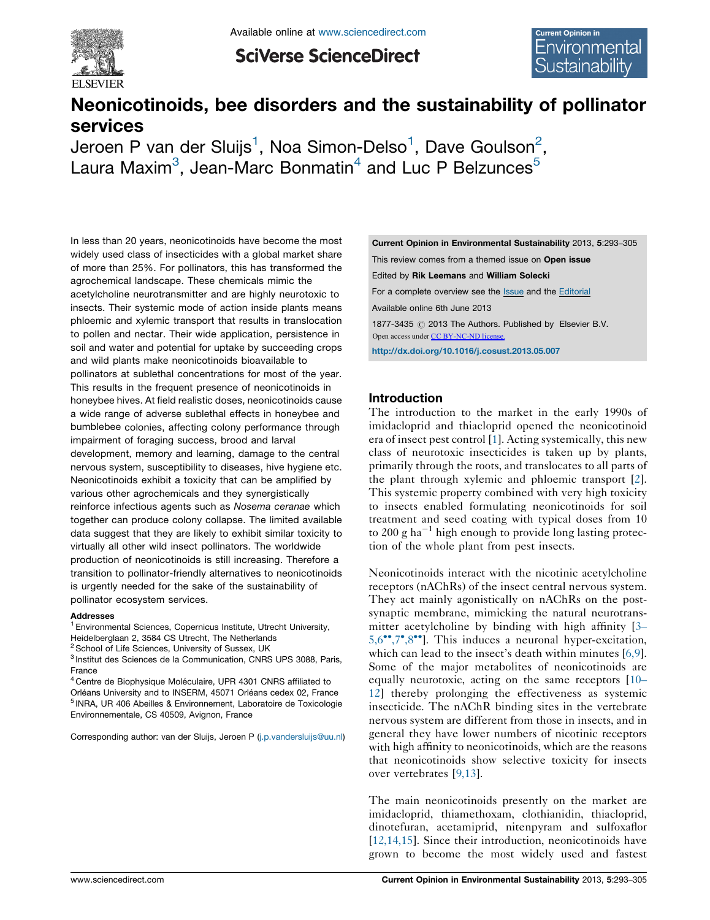

**SciVerse ScienceDirect** 

# Neonicotinoids, bee disorders and the sustainability of pollinator services

Jeroen P van der Sluijs $^1$ , Noa Simon-Delso $^1$ , Dave Goulson $^2$ , Laura Maxim $^3$ , Jean-Marc Bonmatin $^4$  and Luc P Belzunces $^5$ 

In less than 20 years, neonicotinoids have become the most widely used class of insecticides with a global market share of more than 25%. For pollinators, this has transformed the agrochemical landscape. These chemicals mimic the acetylcholine neurotransmitter and are highly neurotoxic to insects. Their systemic mode of action inside plants means phloemic and xylemic transport that results in translocation to pollen and nectar. Their wide application, persistence in soil and water and potential for uptake by succeeding crops and wild plants make neonicotinoids bioavailable to pollinators at sublethal concentrations for most of the year. This results in the frequent presence of neonicotinoids in honeybee hives. At field realistic doses, neonicotinoids cause a wide range of adverse sublethal effects in honeybee and bumblebee colonies, affecting colony performance through impairment of foraging success, brood and larval development, memory and learning, damage to the central nervous system, susceptibility to diseases, hive hygiene etc. Neonicotinoids exhibit a toxicity that can be amplified by various other agrochemicals and they synergistically reinforce infectious agents such as Nosema ceranae which together can produce colony collapse. The limited available data suggest that they are likely to exhibit similar toxicity to virtually all other wild insect pollinators. The worldwide production of neonicotinoids is still increasing. Therefore a transition to pollinator-friendly alternatives to neonicotinoids is urgently needed for the sake of the sustainability of pollinator ecosystem services.

#### Addresses

<sup>1</sup> Environmental Sciences, Copernicus Institute, Utrecht University, Heidelberglaan 2, 3584 CS Utrecht, The Netherlands

 $2$  School of Life Sciences, University of Sussex, UK

<sup>3</sup> Institut des Sciences de la Communication, CNRS UPS 3088, Paris, France

 $4$  Centre de Biophysique Moléculaire, UPR 4301 CNRS affiliated to Orléans University and to INSERM, 45071 Orléans cedex 02, France <sup>5</sup> INRA, UR 406 Abeilles & Environnement, Laboratoire de Toxicologie Environnementale, CS 40509, Avignon, France

Corresponding author: van der Sluijs, Jeroen P [\(j.p.vandersluijs@uu.nl\)](j.p.vandersluijs@uu.nl)

This review comes from a themed issue on Open issue Edited by Rik Leemans and William Solecki For a complete overview see the [Issue](http://www.sciencedirect.com/science/journal/18773435/5/3-4) and the [Editorial](http://dx.doi.org/10.1016/j.cosust.2013.07.006) Available online 6th June 2013 1877-3435 @ 2013 The Authors. Published by Elsevier B.V. Open access under [CC BY-NC-ND license.](http://creativecommons.org/licenses/by-nc-nd/3.0/)

Current Opinion in Environmental Sustainability 2013, 5:293–305

<http://dx.doi.org/10.1016/j.cosust.2013.05.007>

#### Introduction

The introduction to the market in the early 1990s of imidacloprid and thiacloprid opened the neonicotinoid era of insect pest control [[1\]](#page-7-0). Acting systemically, this new class of neurotoxic insecticides is taken up by plants, primarily through the roots, and translocates to all parts of the plant through xylemic and phloemic transport [[2\]](#page-7-0). This systemic property combined with very high toxicity to insects enabled formulating neonicotinoids for soil treatment and seed coating with typical doses from 10 to 200 g ha<sup> $-1$ </sup> high enough to provide long lasting protection of the whole plant from pest insects.

Neonicotinoids interact with the nicotinic acetylcholine receptors (nAChRs) of the insect central nervous system. They act mainly agonistically on nAChRs on the postsynaptic membrane, mimicking the natural neurotransmitter acetylcholine by binding with high affinity [\[3](#page-7-0)– [5,6](#page-7-0)<sup>••</sup>[,7](#page-7-0)<sup>•</sup>[,8](#page-7-0)<sup>••</sup>]. This induces a neuronal hyper-excitation, which can lead to the insect's death within minutes [\[6,9\]](#page-7-0). Some of the major metabolites of neonicotinoids are equally neurotoxic, acting on the same receptors [\[10](#page-7-0)– [12](#page-7-0)] thereby prolonging the effectiveness as systemic insecticide. The nAChR binding sites in the vertebrate nervous system are different from those in insects, and in general they have lower numbers of nicotinic receptors with high affinity to neonicotinoids, which are the reasons that neonicotinoids show selective toxicity for insects over vertebrates [[9,13](#page-7-0)].

The main neonicotinoids presently on the market are imidacloprid, thiamethoxam, clothianidin, thiacloprid, dinotefuran, acetamiprid, nitenpyram and sulfoxaflor [[12,14,15](#page-7-0)]. Since their introduction, neonicotinoids have grown to become the most widely used and fastest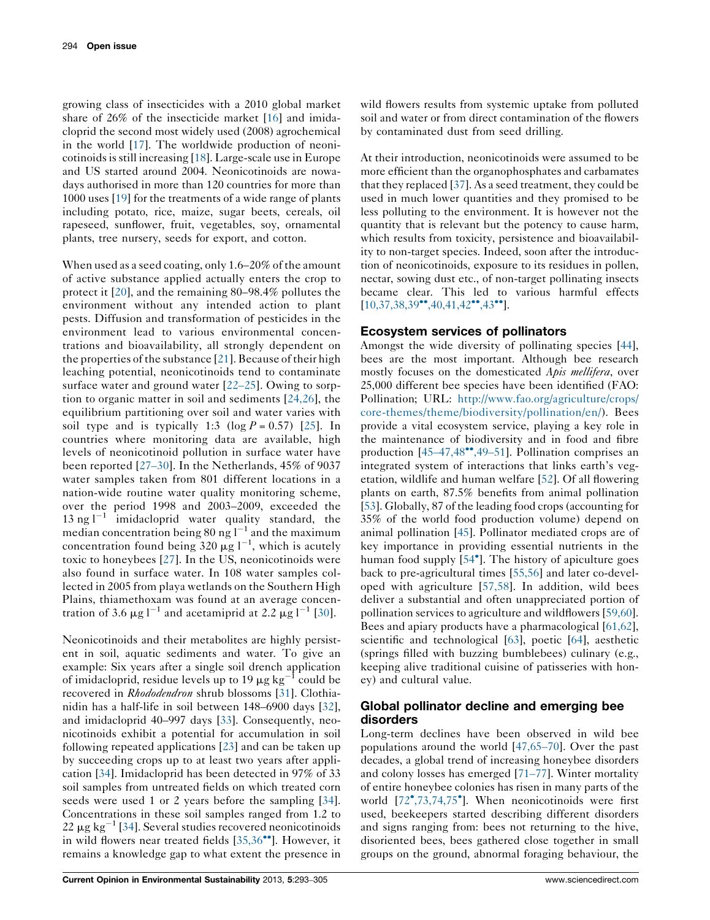growing class of insecticides with a 2010 global market share of 26% of the insecticide market [\[16](#page-7-0)] and imidacloprid the second most widely used (2008) agrochemical in the world [[17\]](#page-7-0). The worldwide production of neoni-cotinoids is still increasing [[18\]](#page-7-0). Large-scale use in Europe and US started around 2004. Neonicotinoids are nowadays authorised in more than 120 countries for more than 1000 uses [[19\]](#page-7-0) for the treatments of a wide range of plants including potato, rice, maize, sugar beets, cereals, oil rapeseed, sunflower, fruit, vegetables, soy, ornamental plants, tree nursery, seeds for export, and cotton.

When used as a seed coating, only 1.6–20% of the amount of active substance applied actually enters the crop to protect it [\[20](#page-7-0)], and the remaining 80–98.4% pollutes the environment without any intended action to plant pests. Diffusion and transformation of pesticides in the environment lead to various environmental concentrations and bioavailability, all strongly dependent on the properties of the substance [[21](#page-8-0)]. Because of their high leaching potential, neonicotinoids tend to contaminate surface water and ground water [22–[25](#page-8-0)]. Owing to sorption to organic matter in soil and sediments [\[24,26](#page-8-0)], the equilibrium partitioning over soil and water varies with soil type and is typically 1:3 (log  $P = 0.57$ ) [\[25\]](#page-8-0). In countries where monitoring data are available, high levels of neonicotinoid pollution in surface water have been reported [\[27](#page-8-0)–30]. In the Netherlands, 45% of 9037 water samples taken from 801 different locations in a nation-wide routine water quality monitoring scheme, over the period 1998 and 2003–2009, exceeded the 13 ng  $1^{-1}$  imidacloprid water quality standard, the median concentration being 80 ng  $1^{-1}$  and the maximum concentration found being 320  $\mu$ g l<sup>-1</sup>, which is acutely toxic to honeybees [[27](#page-8-0)]. In the US, neonicotinoids were also found in surface water. In 108 water samples collected in 2005 from playa wetlands on the Southern High Plains, thiamethoxam was found at an average concentration of 3.6  $\mu$ g l<sup>-1</sup> and acetamiprid at 2.2  $\mu$ g l<sup>-1</sup> [\[30](#page-8-0)].

Neonicotinoids and their metabolites are highly persistent in soil, aquatic sediments and water. To give an example: Six years after a single soil drench application of imidacloprid, residue levels up to 19  $\mu$ g kg<sup>-1</sup> could be recovered in Rhododendron shrub blossoms [[31\]](#page-8-0). Clothianidin has a half-life in soil between 148–6900 days [\[32](#page-8-0)], and imidacloprid 40–997 days [\[33](#page-8-0)]. Consequently, neonicotinoids exhibit a potential for accumulation in soil following repeated applications [\[23](#page-8-0)] and can be taken up by succeeding crops up to at least two years after application [\[34](#page-8-0)]. Imidacloprid has been detected in 97% of 33 soil samples from untreated fields on which treated corn seeds were used 1 or 2 years before the sampling [\[34](#page-8-0)]. Concentrations in these soil samples ranged from 1.2 to  $22 \mu$ g kg<sup>-1</sup> [[34\]](#page-8-0). Several studies recovered neonicotinoids in wild flowers near treated fields  $[35,36\degree]$  $[35,36\degree]$ . However, it remains a knowledge gap to what extent the presence in wild flowers results from systemic uptake from polluted soil and water or from direct contamination of the flowers by contaminated dust from seed drilling.

At their introduction, neonicotinoids were assumed to be more efficient than the organophosphates and carbamates that they replaced [[37](#page-8-0)]. As a seed treatment, they could be used in much lower quantities and they promised to be less polluting to the environment. It is however not the quantity that is relevant but the potency to cause harm, which results from toxicity, persistence and bioavailability to non-target species. Indeed, soon after the introduction of neonicotinoids, exposure to its residues in pollen, nectar, sowing dust etc., of non-target pollinating insects became clear. This led to various harmful effects  $[10,37,38,39^{\bullet\bullet},40,41,42^{\bullet\bullet},43^{\bullet\bullet}].$  $[10,37,38,39^{\bullet\bullet},40,41,42^{\bullet\bullet},43^{\bullet\bullet}].$  $[10,37,38,39^{\bullet\bullet},40,41,42^{\bullet\bullet},43^{\bullet\bullet}].$  $[10,37,38,39^{\bullet\bullet},40,41,42^{\bullet\bullet},43^{\bullet\bullet}].$  $[10,37,38,39^{\bullet\bullet},40,41,42^{\bullet\bullet},43^{\bullet\bullet}].$  $[10,37,38,39^{\bullet\bullet},40,41,42^{\bullet\bullet},43^{\bullet\bullet}].$ 

#### Ecosystem services of pollinators

Amongst the wide diversity of pollinating species [[44](#page-8-0)], bees are the most important. Although bee research mostly focuses on the domesticated Apis mellifera, over 25,000 different bee species have been identified (FAO: Pollination; URL: [http://www.fao.org/agriculture/crops/](http://www.fao.org/agriculture/crops/core-themes/theme/biodiversity/pollination/en/) [core-themes/theme/biodiversity/pollination/en/](http://www.fao.org/agriculture/crops/core-themes/theme/biodiversity/pollination/en/)). Bees provide a vital ecosystem service, playing a key role in the maintenance of biodiversity and in food and fibre production  $[45-47,48^{\bullet\bullet},49-51]$  $[45-47,48^{\bullet\bullet},49-51]$  $[45-47,48^{\bullet\bullet},49-51]$  $[45-47,48^{\bullet\bullet},49-51]$  $[45-47,48^{\bullet\bullet},49-51]$ . Pollination comprises an integrated system of interactions that links earth's vegetation, wildlife and human welfare [\[52](#page-9-0)]. Of all flowering plants on earth, 87.5% benefits from animal pollination [\[53](#page-9-0)]. Globally, 87 of the leading food crops (accounting for 35% of the world food production volume) depend on animal pollination [[45\]](#page-8-0). Pollinator mediated crops are of key importance in providing essential nutrients in the human food supply [[54](#page-9-0)<sup>°</sup>]. The history of apiculture goes back to pre-agricultural times [[55,56](#page-9-0)] and later co-developed with agriculture [[57,58](#page-9-0)]. In addition, wild bees deliver a substantial and often unappreciated portion of pollination services to agriculture and wildflowers [\[59,60](#page-9-0)]. Bees and apiary products have a pharmacological [\[61,62](#page-9-0)], scientific and technological [\[63](#page-9-0)], poetic [[64\]](#page-9-0), aesthetic (springs filled with buzzing bumblebees) culinary (e.g., keeping alive traditional cuisine of patisseries with honey) and cultural value.

### Global pollinator decline and emerging bee disorders

Long-term declines have been observed in wild bee populations around the world [\[47,65](#page-8-0)–70]. Over the past decades, a global trend of increasing honeybee disorders and colony losses has emerged [\[71](#page-9-0)–77]. Winter mortality of entire honeybee colonies has risen in many parts of the world [[72](#page-9-0)°[,73,74,75](#page-9-0)°]. When neonicotinoids were first used, beekeepers started describing different disorders and signs ranging from: bees not returning to the hive, disoriented bees, bees gathered close together in small groups on the ground, abnormal foraging behaviour, the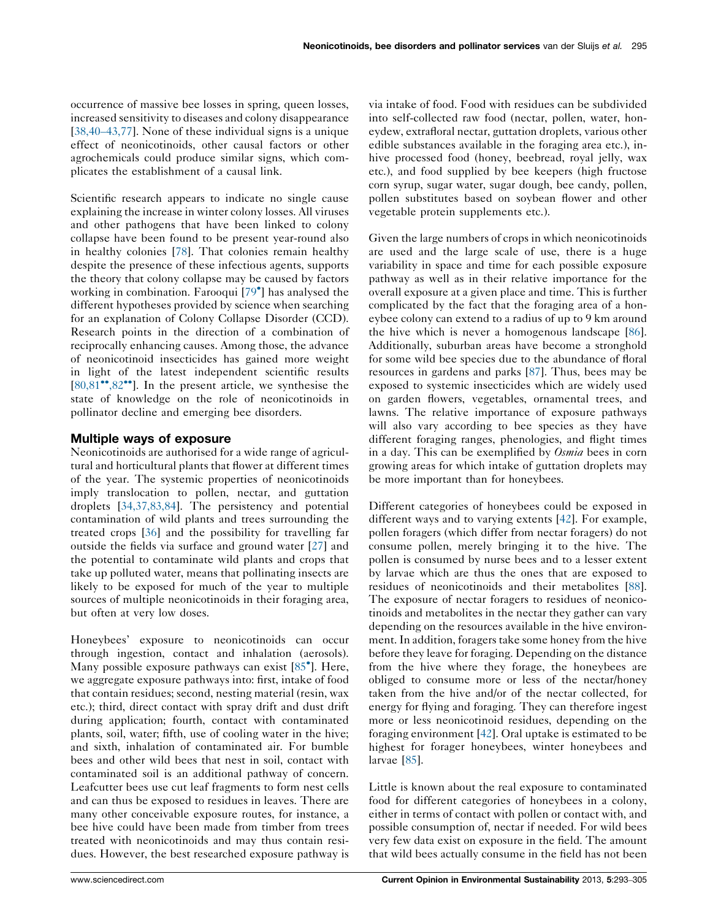occurrence of massive bee losses in spring, queen losses, increased sensitivity to diseases and colony disappearance [\[38,40](#page-8-0)–43,77]. None of these individual signs is a unique effect of neonicotinoids, other causal factors or other agrochemicals could produce similar signs, which complicates the establishment of a causal link.

Scientific research appears to indicate no single cause explaining the increase in winter colony losses. All viruses and other pathogens that have been linked to colony collapse have been found to be present year-round also in healthy colonies [[78\]](#page-9-0). That colonies remain healthy despite the presence of these infectious agents, supports the theory that colony collapse may be caused by factors working in combination. Farooqui [[79](#page-9-0) ] has analysed the different hypotheses provided by science when searching for an explanation of Colony Collapse Disorder (CCD). Research points in the direction of a combination of reciprocally enhancing causes. Among those, the advance of neonicotinoid insecticides has gained more weight in light of the latest independent scientific results  $[80,81$ <sup>\*\*</sup>[,82](#page-9-0)<sup>\*\*</sup>]. In the present article, we synthesise the state of knowledge on the role of neonicotinoids in pollinator decline and emerging bee disorders.

# Multiple ways of exposure

Neonicotinoids are authorised for a wide range of agricultural and horticultural plants that flower at different times of the year. The systemic properties of neonicotinoids imply translocation to pollen, nectar, and guttation droplets [[34,37,83,84](#page-8-0)]. The persistency and potential contamination of wild plants and trees surrounding the treated crops [\[36](#page-8-0)] and the possibility for travelling far outside the fields via surface and ground water [\[27](#page-8-0)] and the potential to contaminate wild plants and crops that take up polluted water, means that pollinating insects are likely to be exposed for much of the year to multiple sources of multiple neonicotinoids in their foraging area, but often at very low doses.

Honeybees' exposure to neonicotinoids can occur through ingestion, contact and inhalation (aerosols). Many possible exposure pathways can exist [\[85](#page-10-0) ]. Here, we aggregate exposure pathways into: first, intake of food that contain residues; second, nesting material (resin, wax etc.); third, direct contact with spray drift and dust drift during application; fourth, contact with contaminated plants, soil, water; fifth, use of cooling water in the hive; and sixth, inhalation of contaminated air. For bumble bees and other wild bees that nest in soil, contact with contaminated soil is an additional pathway of concern. Leafcutter bees use cut leaf fragments to form nest cells and can thus be exposed to residues in leaves. There are many other conceivable exposure routes, for instance, a bee hive could have been made from timber from trees treated with neonicotinoids and may thus contain residues. However, the best researched exposure pathway is

via intake of food. Food with residues can be subdivided into self-collected raw food (nectar, pollen, water, honeydew, extrafloral nectar, guttation droplets, various other edible substances available in the foraging area etc.), inhive processed food (honey, beebread, royal jelly, wax etc.), and food supplied by bee keepers (high fructose corn syrup, sugar water, sugar dough, bee candy, pollen, pollen substitutes based on soybean flower and other vegetable protein supplements etc.).

Given the large numbers of crops in which neonicotinoids are used and the large scale of use, there is a huge variability in space and time for each possible exposure pathway as well as in their relative importance for the overall exposure at a given place and time. This is further complicated by the fact that the foraging area of a honeybee colony can extend to a radius of up to 9 km around the hive which is never a homogenous landscape [[86\]](#page-10-0). Additionally, suburban areas have become a stronghold for some wild bee species due to the abundance of floral resources in gardens and parks [[87\]](#page-10-0). Thus, bees may be exposed to systemic insecticides which are widely used on garden flowers, vegetables, ornamental trees, and lawns. The relative importance of exposure pathways will also vary according to bee species as they have different foraging ranges, phenologies, and flight times in a day. This can be exemplified by Osmia bees in corn growing areas for which intake of guttation droplets may be more important than for honeybees.

Different categories of honeybees could be exposed in different ways and to varying extents [\[42](#page-8-0)]. For example, pollen foragers (which differ from nectar foragers) do not consume pollen, merely bringing it to the hive. The pollen is consumed by nurse bees and to a lesser extent by larvae which are thus the ones that are exposed to residues of neonicotinoids and their metabolites [[88\]](#page-10-0). The exposure of nectar foragers to residues of neonicotinoids and metabolites in the nectar they gather can vary depending on the resources available in the hive environment.In addition, foragers take some honey from the hive before they leave for foraging. Depending on the distance from the hive where they forage, the honeybees are obliged to consume more or less of the nectar/honey taken from the hive and/or of the nectar collected, for energy for flying and foraging. They can therefore ingest more or less neonicotinoid residues, depending on the foraging environment [[42\]](#page-8-0). Oral uptake is estimated to be highest for forager honeybees, winter honeybees and larvae [[85\]](#page-10-0).

Little is known about the real exposure to contaminated food for different categories of honeybees in a colony, either in terms of contact with pollen or contact with, and possible consumption of, nectar if needed. For wild bees very few data exist on exposure in the field. The amount that wild bees actually consume in the field has not been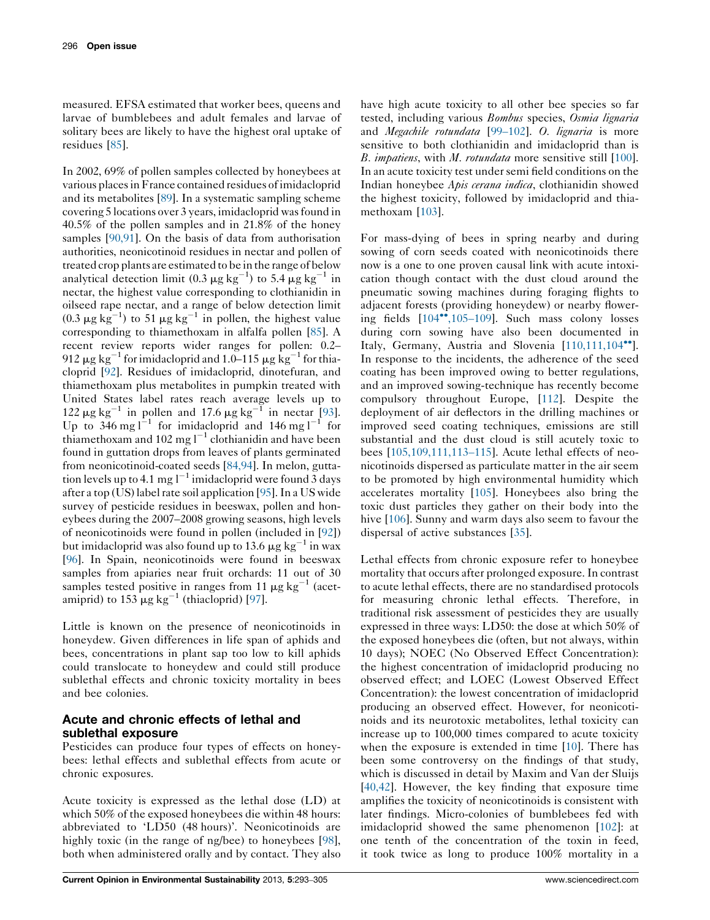measured. EFSA estimated that worker bees, queens and larvae of bumblebees and adult females and larvae of solitary bees are likely to have the highest oral uptake of residues [\[85](#page-10-0)].

In 2002, 69% of pollen samples collected by honeybees at various placesinFrance contained residues ofimidacloprid and its metabolites [[89\]](#page-10-0). In a systematic sampling scheme covering 5 locations over 3 years, imidacloprid wasfound in 40.5% of the pollen samples and in 21.8% of the honey samples [\[90,91](#page-10-0)]. On the basis of data from authorisation authorities, neonicotinoid residues in nectar and pollen of treated crop plants are estimated to be in the range of below analytical detection limit (0.3  $\mu$ g kg<sup>-1</sup>) to 5.4  $\mu$ g kg<sup>-1</sup> in nectar, the highest value corresponding to clothianidin in oilseed rape nectar, and a range of below detection limit (0.3  $\mu$ g kg<sup>-1</sup>) to 51  $\mu$ g kg<sup>-1</sup> in pollen, the highest value corresponding to thiamethoxam in alfalfa pollen [\[85\]](#page-10-0). A recent review reports wider ranges for pollen: 0.2– 912  $\mu$ g kg<sup>-1</sup> for imidacloprid and 1.0–115  $\mu$ g kg<sup>-1</sup> for thiacloprid [\[92](#page-10-0)]. Residues of imidacloprid, dinotefuran, and thiamethoxam plus metabolites in pumpkin treated with United States label rates reach average levels up to 122  $\mu$ g kg<sup>-1</sup> in pollen and 17.6  $\mu$ g kg<sup>-1</sup> in nectar [\[93](#page-10-0)]. Up to  $346 \text{ mg l}^{-1}$  for imidacloprid and  $146 \text{ mg l}^{-1}$  for thiamethoxam and 102 mg  $1^{-1}$  clothianidin and have been found in guttation drops from leaves of plants germinated from neonicotinoid-coated seeds [[84,94\]](#page-10-0). In melon, guttation levels up to 4.1 mg  $l^{-1}$  imidacloprid were found 3 days after a top (US) label rate soil application [\[95](#page-10-0)]. In a US wide survey of pesticide residues in beeswax, pollen and honeybees during the 2007–2008 growing seasons, high levels of neonicotinoids were found in pollen (included in [[92](#page-10-0)]) but imidacloprid was also found up to 13.6  $\mu$ g kg<sup>-1</sup> in wax [\[96](#page-10-0)]. In Spain, neonicotinoids were found in beeswax samples from apiaries near fruit orchards: 11 out of 30 samples tested positive in ranges from 11  $\mu$ g kg<sup>-1</sup> (acetamiprid) to  $153 \mu g kg^{-1}$  (thiacloprid) [\[97](#page-10-0)].

Little is known on the presence of neonicotinoids in honeydew. Given differences in life span of aphids and bees, concentrations in plant sap too low to kill aphids could translocate to honeydew and could still produce sublethal effects and chronic toxicity mortality in bees and bee colonies.

# Acute and chronic effects of lethal and sublethal exposure

Pesticides can produce four types of effects on honeybees: lethal effects and sublethal effects from acute or chronic exposures.

Acute toxicity is expressed as the lethal dose (LD) at which 50% of the exposed honeybees die within 48 hours: abbreviated to 'LD50 (48 hours)'. Neonicotinoids are highly toxic (in the range of ng/bee) to honeybees [\[98](#page-10-0)], both when administered orally and by contact. They also have high acute toxicity to all other bee species so far tested, including various Bombus species, Osmia lignaria and Megachile rotundata [99–[102\]](#page-10-0). O. lignaria is more sensitive to both clothianidin and imidacloprid than is B. *impatiens*, with *M. rotundata* more sensitive still [[100](#page-10-0)]. In an acute toxicity test under semi field conditions on the Indian honeybee Apis cerana indica, clothianidin showed the highest toxicity, followed by imidacloprid and thiamethoxam [[103\]](#page-10-0).

For mass-dying of bees in spring nearby and during sowing of corn seeds coated with neonicotinoids there now is a one to one proven causal link with acute intoxication though contact with the dust cloud around the pneumatic sowing machines during foraging flights to adjacent forests (providing honeydew) or nearby flowering fields  $[104^{\bullet\bullet}, 105-109]$  $[104^{\bullet\bullet}, 105-109]$ . Such mass colony losses during corn sowing have also been documented in Italy, Germany, Austria and Slovenia  $[110,111,104\degree]$  $[110,111,104\degree]$ . In response to the incidents, the adherence of the seed coating has been improved owing to better regulations, and an improved sowing-technique has recently become compulsory throughout Europe, [\[112](#page-11-0)]. Despite the deployment of air deflectors in the drilling machines or improved seed coating techniques, emissions are still substantial and the dust cloud is still acutely toxic to bees [\[105,109,111,113](#page-10-0)–115]. Acute lethal effects of neonicotinoids dispersed as particulate matter in the air seem to be promoted by high environmental humidity which accelerates mortality [\[105](#page-10-0)]. Honeybees also bring the toxic dust particles they gather on their body into the hive [\[106](#page-10-0)]. Sunny and warm days also seem to favour the dispersal of active substances [[35\]](#page-8-0).

Lethal effects from chronic exposure refer to honeybee mortality that occurs after prolonged exposure. In contrast to acute lethal effects, there are no standardised protocols for measuring chronic lethal effects. Therefore, in traditional risk assessment of pesticides they are usually expressed in three ways: LD50: the dose at which 50% of the exposed honeybees die (often, but not always, within 10 days); NOEC (No Observed Effect Concentration): the highest concentration of imidacloprid producing no observed effect; and LOEC (Lowest Observed Effect Concentration): the lowest concentration of imidacloprid producing an observed effect. However, for neonicotinoids and its neurotoxic metabolites, lethal toxicity can increase up to 100,000 times compared to acute toxicity when the exposure is extended in time [\[10](#page-7-0)]. There has been some controversy on the findings of that study, which is discussed in detail by Maxim and Van der Sluijs [\[40,42\]](#page-8-0). However, the key finding that exposure time amplifies the toxicity of neonicotinoids is consistent with later findings. Micro-colonies of bumblebees fed with imidacloprid showed the same phenomenon [\[102](#page-10-0)]: at one tenth of the concentration of the toxin in feed, it took twice as long to produce 100% mortality in a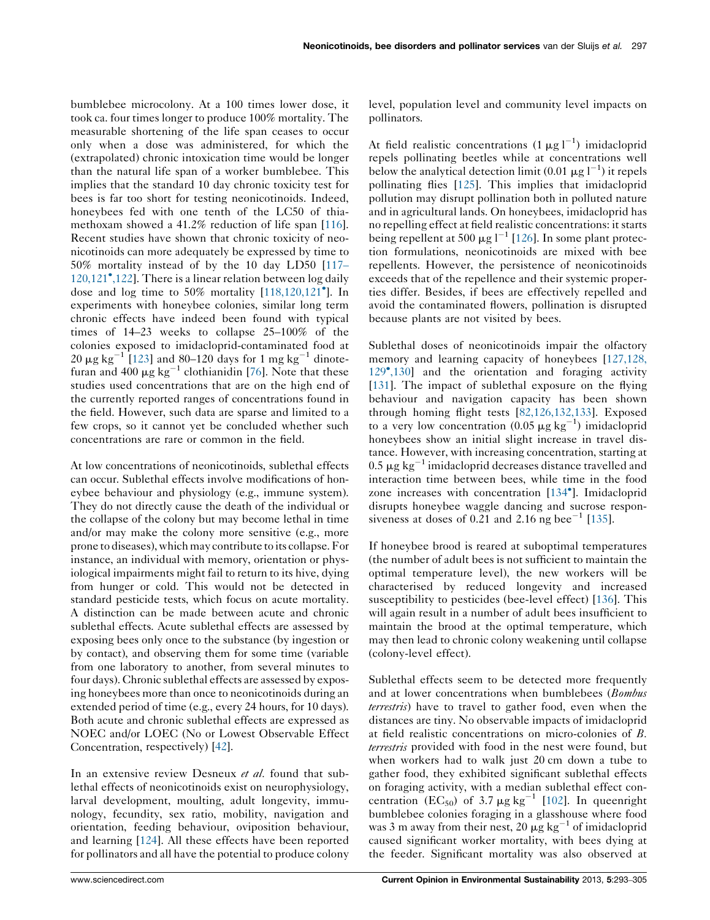bumblebee microcolony. At a 100 times lower dose, it took ca. four times longer to produce 100% mortality. The measurable shortening of the life span ceases to occur only when a dose was administered, for which the (extrapolated) chronic intoxication time would be longer than the natural life span of a worker bumblebee. This implies that the standard 10 day chronic toxicity test for bees is far too short for testing neonicotinoids. Indeed, honeybees fed with one tenth of the LC50 of thiamethoxam showed a 41.2% reduction of life span [\[116](#page-11-0)]. Recent studies have shown that chronic toxicity of neonicotinoids can more adequately be expressed by time to 50% mortality instead of by the 10 day LD50 [\[117](#page-11-0)– [120,121](#page-11-0) [,122\]](#page-11-0). There is a linear relation between log daily dose and log time to 50% mortality [[118,120,121](#page-11-0) ]. In experiments with honeybee colonies, similar long term chronic effects have indeed been found with typical times of 14–23 weeks to collapse 25–100% of the colonies exposed to imidacloprid-contaminated food at 20  $\mu$ g kg<sup>-1</sup> [\[123](#page-11-0)] and 80-120 days for 1 mg kg<sup>-1</sup> dinotefuran and 400  $\mu$ g kg<sup>-1</sup> clothianidin [[76\]](#page-9-0). Note that these studies used concentrations that are on the high end of the currently reported ranges of concentrations found in the field. However, such data are sparse and limited to a few crops, so it cannot yet be concluded whether such concentrations are rare or common in the field.

At low concentrations of neonicotinoids, sublethal effects can occur. Sublethal effects involve modifications of honeybee behaviour and physiology (e.g., immune system). They do not directly cause the death of the individual or the collapse of the colony but may become lethal in time and/or may make the colony more sensitive (e.g., more prone to diseases), which may contribute to its collapse.For instance, an individual with memory, orientation or physiological impairments might fail to return to its hive, dying from hunger or cold. This would not be detected in standard pesticide tests, which focus on acute mortality. A distinction can be made between acute and chronic sublethal effects. Acute sublethal effects are assessed by exposing bees only once to the substance (by ingestion or by contact), and observing them for some time (variable from one laboratory to another, from several minutes to four days). Chronic sublethal effects are assessed by exposing honeybees more than once to neonicotinoids during an extended period of time (e.g., every 24 hours, for 10 days). Both acute and chronic sublethal effects are expressed as NOEC and/or LOEC (No or Lowest Observable Effect Concentration, respectively) [[42\]](#page-8-0).

In an extensive review Desneux et al. found that sublethal effects of neonicotinoids exist on neurophysiology, larval development, moulting, adult longevity, immunology, fecundity, sex ratio, mobility, navigation and orientation, feeding behaviour, oviposition behaviour, and learning [[124\]](#page-11-0). All these effects have been reported for pollinators and all have the potential to produce colony level, population level and community level impacts on pollinators.

At field realistic concentrations  $(1 \mu g)$ <sup>-1</sup>) imidacloprid repels pollinating beetles while at concentrations well below the analytical detection limit (0.01  $\mu$ g l<sup>-1</sup>) it repels pollinating flies [\[125](#page-11-0)]. This implies that imidacloprid pollution may disrupt pollination both in polluted nature and in agricultural lands. On honeybees, imidacloprid has no repelling effect at field realistic concentrations: it starts being repellent at 500  $\mu$ g l<sup>-1</sup> [[126\]](#page-11-0). In some plant protection formulations, neonicotinoids are mixed with bee repellents. However, the persistence of neonicotinoids exceeds that of the repellence and their systemic properties differ. Besides, if bees are effectively repelled and avoid the contaminated flowers, pollination is disrupted because plants are not visited by bees.

Sublethal doses of neonicotinoids impair the olfactory memory and learning capacity of honeybees [[127,128,](#page-11-0) [129](#page-11-0) [,130](#page-11-0)] and the orientation and foraging activity [[131](#page-11-0)]. The impact of sublethal exposure on the flying behaviour and navigation capacity has been shown through homing flight tests [\[82,126,132,133\]](#page-11-0). Exposed to a very low concentration  $(0.05 \ \mu g \ kg^{-1})$  imidacloprid honeybees show an initial slight increase in travel distance. However, with increasing concentration, starting at 0.5  $\mu$ g kg<sup>-1</sup> imidacloprid decreases distance travelled and interaction time between bees, while time in the food zone increases with concentration [[134](#page-11-0) ]. Imidacloprid disrupts honeybee waggle dancing and sucrose responsiveness at doses of  $0.\overline{21}$  and  $2.16$  ng bee<sup>-1</sup> [[135\]](#page-11-0).

If honeybee brood is reared at suboptimal temperatures (the number of adult bees is not sufficient to maintain the optimal temperature level), the new workers will be characterised by reduced longevity and increased susceptibility to pesticides (bee-level effect) [[136\]](#page-11-0). This will again result in a number of adult bees insufficient to maintain the brood at the optimal temperature, which may then lead to chronic colony weakening until collapse (colony-level effect).

Sublethal effects seem to be detected more frequently and at lower concentrations when bumblebees (Bombus terrestris) have to travel to gather food, even when the distances are tiny. No observable impacts of imidacloprid at field realistic concentrations on micro-colonies of B. *terrestris* provided with food in the nest were found, but when workers had to walk just 20 cm down a tube to gather food, they exhibited significant sublethal effects on foraging activity, with a median sublethal effect concentration  $(EC_{50})$  of 3.7  $\mu$ g kg<sup>-1</sup> [\[102](#page-10-0)]. In queenright bumblebee colonies foraging in a glasshouse where food was 3 m away from their nest, 20  $\mu$ g kg<sup>-1</sup> of imidacloprid caused significant worker mortality, with bees dying at the feeder. Significant mortality was also observed at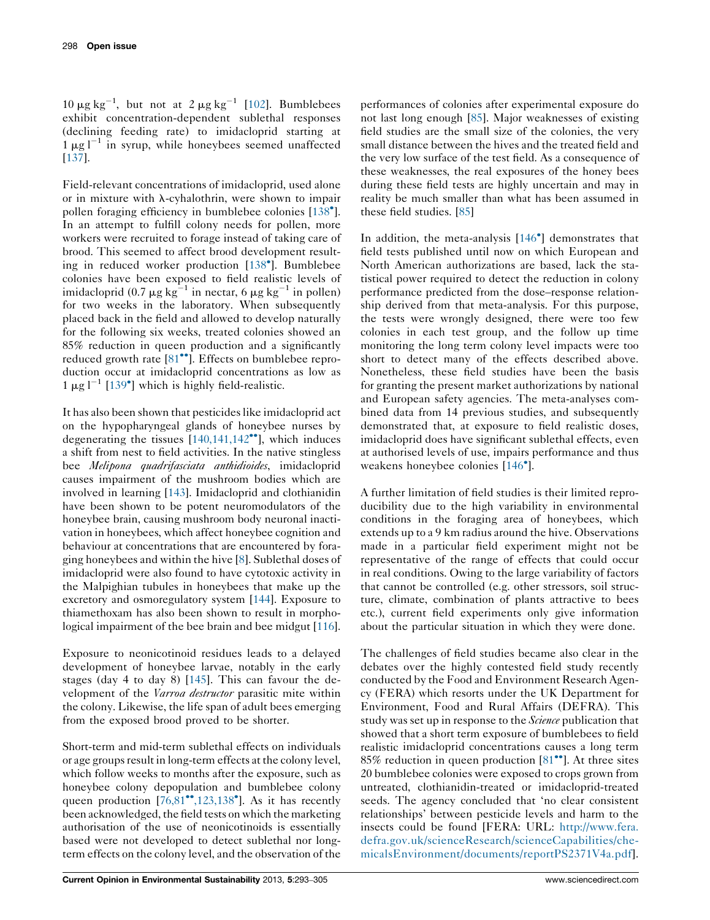10  $\mu$ g kg<sup>-1</sup>, but not at 2  $\mu$ g kg<sup>-1</sup> [\[102](#page-10-0)]. Bumblebees exhibit concentration-dependent sublethal responses (declining feeding rate) to imidacloprid starting at  $1 \mu g l^{-1}$  in syrup, while honeybees seemed unaffected [\[137](#page-11-0)].

Field-relevant concentrations of imidacloprid, used alone or in mixture with  $\lambda$ -cyhalothrin, were shown to impair pollen foraging efficiency in bumblebee colonies [[138](#page-11-0)°]. In an attempt to fulfill colony needs for pollen, more workers were recruited to forage instead of taking care of brood. This seemed to affect brood development resulting in reduced worker production [[138](#page-11-0) ]. Bumblebee colonies have been exposed to field realistic levels of imidacloprid (0.7  $\mu$ g kg<sup>-1</sup> in nectar, 6  $\mu$ g kg<sup>-1</sup> in pollen) for two weeks in the laboratory. When subsequently placed back in the field and allowed to develop naturally for the following six weeks, treated colonies showed an 85% reduction in queen production and a significantly reduced growth rate [\[81](#page-9-0)<sup>••</sup>]. Effects on bumblebee reproduction occur at imidacloprid concentrations as low as  $1 \mu g l^{-1}$  [\[139](#page-11-0)<sup>°</sup>] which is highly field-realistic.

It has also been shown that pesticides like imidacloprid act on the hypopharyngeal glands of honeybee nurses by degenerating the tissues  $[140,141,142$  $[140,141,142$ <sup>oo</sup>], which induces a shift from nest to field activities. In the native stingless bee Melipona quadrifasciata anthidioides, imidacloprid causes impairment of the mushroom bodies which are involved in learning [\[143\]](#page-12-0). Imidacloprid and clothianidin have been shown to be potent neuromodulators of the honeybee brain, causing mushroom body neuronal inactivation in honeybees, which affect honeybee cognition and behaviour at concentrations that are encountered by foraging honeybees and within the hive [\[8](#page-7-0)]. Sublethal doses of imidacloprid were also found to have cytotoxic activity in the Malpighian tubules in honeybees that make up the excretory and osmoregulatory system [\[144](#page-12-0)]. Exposure to thiamethoxam has also been shown to result in morphological impairment of the bee brain and bee midgut [[116](#page-11-0)].

Exposure to neonicotinoid residues leads to a delayed development of honeybee larvae, notably in the early stages (day 4 to day 8) [\[145](#page-12-0)]. This can favour the development of the Varroa destructor parasitic mite within the colony. Likewise, the life span of adult bees emerging from the exposed brood proved to be shorter.

Short-term and mid-term sublethal effects on individuals or age groups result in long-term effects at the colony level, which follow weeks to months after the exposure, such as honeybee colony depopulation and bumblebee colony queen production  $[76,81^{\bullet\bullet},123,138^{\bullet}]$  $[76,81^{\bullet\bullet},123,138^{\bullet}]$  $[76,81^{\bullet\bullet},123,138^{\bullet}]$  $[76,81^{\bullet\bullet},123,138^{\bullet}]$ . As it has recently been acknowledged, the field tests on which the marketing authorisation of the use of neonicotinoids is essentially based were not developed to detect sublethal nor longterm effects on the colony level, and the observation of the

performances of colonies after experimental exposure do not last long enough [\[85](#page-10-0)]. Major weaknesses of existing field studies are the small size of the colonies, the very small distance between the hives and the treated field and the very low surface of the test field. As a consequence of these weaknesses, the real exposures of the honey bees during these field tests are highly uncertain and may in reality be much smaller than what has been assumed in these field studies. [\[85\]](#page-10-0)

In addition, the meta-analysis [\[146](#page-12-0)<sup>°</sup>] demonstrates that field tests published until now on which European and North American authorizations are based, lack the statistical power required to detect the reduction in colony performance predicted from the dose–response relationship derived from that meta-analysis. For this purpose, the tests were wrongly designed, there were too few colonies in each test group, and the follow up time monitoring the long term colony level impacts were too short to detect many of the effects described above. Nonetheless, these field studies have been the basis for granting the present market authorizations by national and European safety agencies. The meta-analyses combined data from 14 previous studies, and subsequently demonstrated that, at exposure to field realistic doses, imidacloprid does have significant sublethal effects, even at authorised levels of use, impairs performance and thus weakens honeybee colonies [[146](#page-12-0) ].

A further limitation of field studies is their limited reproducibility due to the high variability in environmental conditions in the foraging area of honeybees, which extends up to a 9 km radius around the hive. Observations made in a particular field experiment might not be representative of the range of effects that could occur in real conditions. Owing to the large variability of factors that cannot be controlled (e.g. other stressors, soil structure, climate, combination of plants attractive to bees etc.), current field experiments only give information about the particular situation in which they were done.

The challenges of field studies became also clear in the debates over the highly contested field study recently conducted by the Food and Environment Research Agency (FERA) which resorts under the UK Department for Environment, Food and Rural Affairs (DEFRA). This study was set up in response to the *Science* publication that showed that a short term exposure of bumblebees to field realistic imidacloprid concentrations causes a long term  $85\%$  reduction in queen production  $[81$ <sup>\*\*</sup>]. At three sites 20 bumblebee colonies were exposed to crops grown from untreated, clothianidin-treated or imidacloprid-treated seeds. The agency concluded that 'no clear consistent relationships' between pesticide levels and harm to the insects could be found [FERA: URL: [http://www.fera.](http://www.fera.defra.gov.uk/scienceResearch/scienceCapabilities/chemicalsEnvironment/documents/reportPS2371V4a.pdf) [defra.gov.uk/scienceResearch/scienceCapabilities/che](http://www.fera.defra.gov.uk/scienceResearch/scienceCapabilities/chemicalsEnvironment/documents/reportPS2371V4a.pdf)[micalsEnvironment/documents/reportPS2371V4a.pdf](http://www.fera.defra.gov.uk/scienceResearch/scienceCapabilities/chemicalsEnvironment/documents/reportPS2371V4a.pdf)].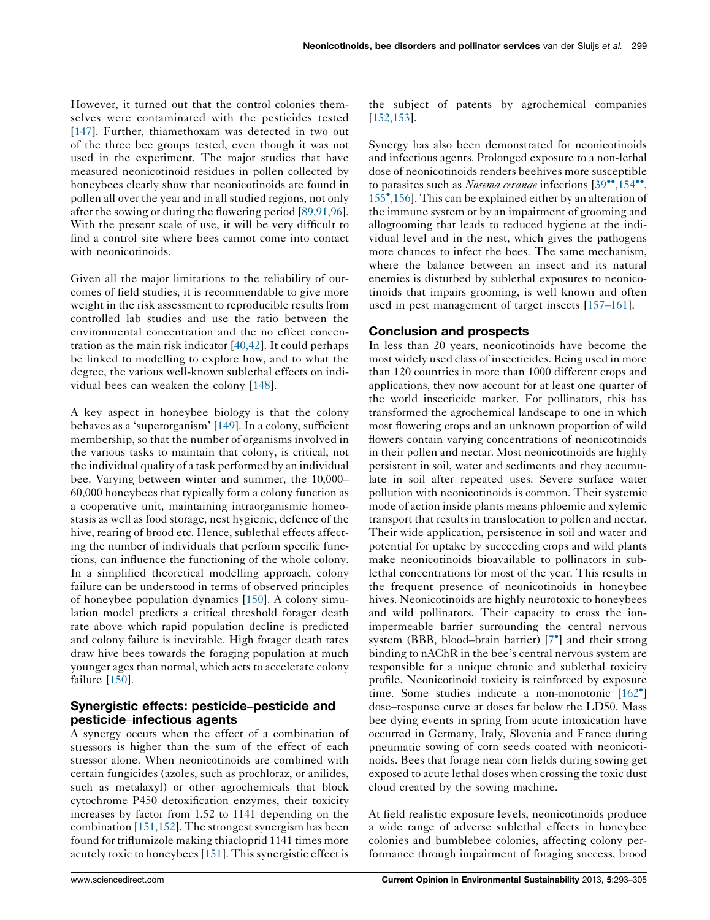However, it turned out that the control colonies themselves were contaminated with the pesticides tested [\[147](#page-12-0)]. Further, thiamethoxam was detected in two out of the three bee groups tested, even though it was not used in the experiment. The major studies that have measured neonicotinoid residues in pollen collected by honeybees clearly show that neonicotinoids are found in pollen all over the year and in all studied regions, not only after the sowing or during the flowering period [\[89,91,96](#page-10-0)]. With the present scale of use, it will be very difficult to find a control site where bees cannot come into contact with neonicotinoids.

Given all the major limitations to the reliability of outcomes of field studies, it is recommendable to give more weight in the risk assessment to reproducible results from controlled lab studies and use the ratio between the environmental concentration and the no effect concentration as the main risk indicator [\[40,42\]](#page-8-0). It could perhaps be linked to modelling to explore how, and to what the degree, the various well-known sublethal effects on individual bees can weaken the colony [\[148](#page-12-0)].

A key aspect in honeybee biology is that the colony behaves as a 'superorganism' [[149\]](#page-12-0). In a colony, sufficient membership, so that the number of organisms involved in the various tasks to maintain that colony, is critical, not the individual quality of a task performed by an individual bee. Varying between winter and summer, the 10,000– 60,000 honeybees that typically form a colony function as a cooperative unit, maintaining intraorganismic homeostasis as well as food storage, nest hygienic, defence of the hive, rearing of brood etc. Hence, sublethal effects affecting the number of individuals that perform specific functions, can influence the functioning of the whole colony. In a simplified theoretical modelling approach, colony failure can be understood in terms of observed principles of honeybee population dynamics [\[150](#page-12-0)]. A colony simulation model predicts a critical threshold forager death rate above which rapid population decline is predicted and colony failure is inevitable. High forager death rates draw hive bees towards the foraging population at much younger ages than normal, which acts to accelerate colony failure [[150\]](#page-12-0).

### Synergistic effects: pesticide–pesticide and pesticide–infectious agents

A synergy occurs when the effect of a combination of stressors is higher than the sum of the effect of each stressor alone. When neonicotinoids are combined with certain fungicides (azoles, such as prochloraz, or anilides, such as metalaxyl) or other agrochemicals that block cytochrome P450 detoxification enzymes, their toxicity increases by factor from 1.52 to 1141 depending on the combination [[151,152](#page-12-0)]. The strongest synergism has been found for triflumizole making thiacloprid 1141 times more acutely toxic to honeybees [[151\]](#page-12-0). This synergistic effect is

the subject of patents by agrochemical companies [[152,153\]](#page-12-0).

Synergy has also been demonstrated for neonicotinoids and infectious agents. Prolonged exposure to a non-lethal dose of neonicotinoids renders beehives more susceptible to parasites such as *Nosema ceranae* infections  $[39\text{''}, 154\text{''}]$  $[39\text{''}, 154\text{''}]$  $[39\text{''}, 154\text{''}]$  $[39\text{''}, 154\text{''}]$  $[39\text{''}, 154\text{''}]$ [155](#page-8-0) [,156](#page-8-0)]. This can be explained either by an alteration of the immune system or by an impairment of grooming and allogrooming that leads to reduced hygiene at the individual level and in the nest, which gives the pathogens more chances to infect the bees. The same mechanism, where the balance between an insect and its natural enemies is disturbed by sublethal exposures to neonicotinoids that impairs grooming, is well known and often used in pest management of target insects [\[157](#page-12-0)–161].

#### Conclusion and prospects

In less than 20 years, neonicotinoids have become the most widely used class of insecticides. Being used in more than 120 countries in more than 1000 different crops and applications, they now account for at least one quarter of the world insecticide market. For pollinators, this has transformed the agrochemical landscape to one in which most flowering crops and an unknown proportion of wild flowers contain varying concentrations of neonicotinoids in their pollen and nectar. Most neonicotinoids are highly persistent in soil, water and sediments and they accumulate in soil after repeated uses. Severe surface water pollution with neonicotinoids is common. Their systemic mode of action inside plants means phloemic and xylemic transport that results in translocation to pollen and nectar. Their wide application, persistence in soil and water and potential for uptake by succeeding crops and wild plants make neonicotinoids bioavailable to pollinators in sublethal concentrations for most of the year. This results in the frequent presence of neonicotinoids in honeybee hives. Neonicotinoids are highly neurotoxic to honeybees and wild pollinators. Their capacity to cross the ionimpermeable barrier surrounding the central nervous system (BBB, blood–brain barrier) [\[7](#page-7-0) ] and their strong binding to nAChR in the bee's central nervous system are responsible for a unique chronic and sublethal toxicity profile. Neonicotinoid toxicity is reinforced by exposure time. Some studies indicate a non-monotonic [\[162](#page-12-0)°] dose–response curve at doses far below the LD50. Mass bee dying events in spring from acute intoxication have occurred in Germany, Italy, Slovenia and France during pneumatic sowing of corn seeds coated with neonicotinoids. Bees that forage near corn fields during sowing get exposed to acute lethal doses when crossing the toxic dust cloud created by the sowing machine.

At field realistic exposure levels, neonicotinoids produce a wide range of adverse sublethal effects in honeybee colonies and bumblebee colonies, affecting colony performance through impairment of foraging success, brood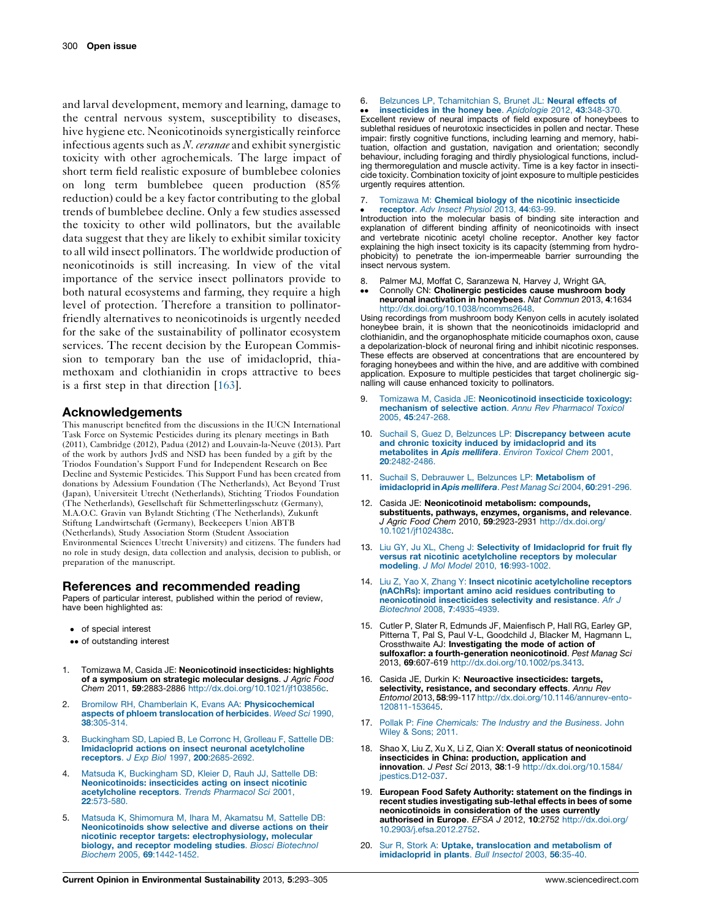<span id="page-7-0"></span>and larval development, memory and learning, damage to the central nervous system, susceptibility to diseases, hive hygiene etc. Neonicotinoids synergistically reinforce infectious agents such as  $N$ . ceranae and exhibit synergistic toxicity with other agrochemicals. The large impact of short term field realistic exposure of bumblebee colonies on long term bumblebee queen production (85% reduction) could be a key factor contributing to the global trends of bumblebee decline. Only a few studies assessed the toxicity to other wild pollinators, but the available data suggest that they are likely to exhibit similar toxicity to all wild insect pollinators. The worldwide production of neonicotinoids is still increasing. In view of the vital importance of the service insect pollinators provide to both natural ecosystems and farming, they require a high level of protection. Therefore a transition to pollinatorfriendly alternatives to neonicotinoids is urgently needed for the sake of the sustainability of pollinator ecosystem services. The recent decision by the European Commission to temporary ban the use of imidacloprid, thiamethoxam and clothianidin in crops attractive to bees is a first step in that direction [[163\]](#page-12-0).

#### Acknowledgements

This manuscript benefited from the discussions in the IUCN International Task Force on Systemic Pesticides during its plenary meetings in Bath (2011), Cambridge (2012), Padua (2012) and Louvain-la-Neuve (2013). Part of the work by authors JvdS and NSD has been funded by a gift by the Triodos Foundation's Support Fund for Independent Research on Bee Decline and Systemic Pesticides. This Support Fund has been created from donations by Adessium Foundation (The Netherlands), Act Beyond Trust (Japan), Universiteit Utrecht (Netherlands), Stichting Triodos Foundation (The Netherlands), Gesellschaft für Schmetterlingsschutz (Germany), M.A.O.C. Gravin van Bylandt Stichting (The Netherlands), Zukunft Stiftung Landwirtschaft (Germany), Beekeepers Union ABTB (Netherlands), Study Association Storm (Student Association Environmental Sciences Utrecht University) and citizens. The funders had no role in study design, data collection and analysis, decision to publish, or preparation of the manuscript.

#### References and recommended reading

Papers of particular interest, published within the period of review, have been highlighted as:

- of special interest
- •• of outstanding interest
- 1. Tomizawa M, Casida JE: Neonicotinoid insecticides: highlights of a symposium on strategic molecular designs. J Agric Food Chem 2011, 59:2883-2886 <http://dx.doi.org/10.1021/jf103856c>.
- 2. Bromilow RH, Chamberlain K, Evans AA: [Physicochemical](http://refhub.elsevier.com/S1877-3435(13)00049-3/sbref0010) aspects of phloem [translocation](http://refhub.elsevier.com/S1877-3435(13)00049-3/sbref0010) of herbicides. Weed Sci 1990, 38[:305-314.](http://refhub.elsevier.com/S1877-3435(13)00049-3/sbref0010)
- 3. [Buckingham](http://refhub.elsevier.com/S1877-3435(13)00049-3/sbref0015) SD, Lapied B, Le Corronc H, Grolleau F, Sattelle DB: Imidacloprid actions on insect neuronal [acetylcholine](http://refhub.elsevier.com/S1877-3435(13)00049-3/sbref0015) receptors. J Exp Biol 1997, 200[:2685-2692.](http://refhub.elsevier.com/S1877-3435(13)00049-3/sbref0015)
- 4. Matsuda K, [Buckingham](http://refhub.elsevier.com/S1877-3435(13)00049-3/sbref0020) SD, Kleier D, Rauh JJ, Sattelle DB: [Neonicotinoids:](http://refhub.elsevier.com/S1877-3435(13)00049-3/sbref0020) insecticides acting on insect nicotinic [acetylcholine](http://refhub.elsevier.com/S1877-3435(13)00049-3/sbref0020) receptors. Trends Pharmacol Sci 2001, 22[:573-580.](http://refhub.elsevier.com/S1877-3435(13)00049-3/sbref0020)
- 5. Matsuda K, [Shimomura](http://refhub.elsevier.com/S1877-3435(13)00049-3/sbref0025) M, Ihara M, Akamatsu M, Sattelle DB: [Neonicotinoids](http://refhub.elsevier.com/S1877-3435(13)00049-3/sbref0025) show selective and diverse actions on their nicotinic receptor targets: [electrophysiology,](http://refhub.elsevier.com/S1877-3435(13)00049-3/sbref0025) molecular biology, and receptor modeling studies. Biosci [Biotechnol](http://refhub.elsevier.com/S1877-3435(13)00049-3/sbref0025) Biochem 2005, 69[:1442-1452.](http://refhub.elsevier.com/S1877-3435(13)00049-3/sbref0025)

#### 6. Belzunces LP, [Tchamitchian](http://refhub.elsevier.com/S1877-3435(13)00049-3/sbref0030) S, Brunet JL: Neural effects of

• insecticides in the honey bee. Apidologie 2012, 43:348-370.<br>Excellent review of neural impacts of field exposure of honeybees to [insecticides](http://refhub.elsevier.com/S1877-3435(13)00049-3/sbref0030) in the honey bee. Apidologie 2012, 43:348-370. sublethal residues of neurotoxic insecticides in pollen and nectar. These impair: firstly cognitive functions, including learning and memory, habituation, olfaction and gustation, navigation and orientation; secondly behaviour, including foraging and thirdly physiological functions, includ-ing thermoregulation and muscle activity. Time is a key factor in insecticide toxicity. Combination toxicity of joint exposure to multiple pesticides urgently requires attention.

#### 7.  $\bullet$ Tomizawa M: Chemical biology of the nicotinic [insecticide](http://refhub.elsevier.com/S1877-3435(13)00049-3/sbref0035) [receptor](http://refhub.elsevier.com/S1877-3435(13)00049-3/sbref0035). Adv Insect Physiol 2013, 44:63-99.

Introduction into the molecular basis of binding site interaction and explanation of different binding affinity of neonicotinoids with insect and vertebrate nicotinic acetyl choline receptor. Another key factor explaining the high insect toxicity is its capacity (stemming from hydrophobicity) to penetrate the ion-impermeable barrier surrounding the insect nervous system.

- 8. Palmer MJ, Moffat C, Saranzewa N, Harvey J, Wright GA,
- $\bullet \bullet$ Connolly CN: Cholinergic pesticides cause mushroom body neuronal inactivation in honeybees. Nat Commun 2013, 4:1634 <http://dx.doi.org/10.1038/ncomms2648>.

Using recordings from mushroom body Kenyon cells in acutely isolated honeybee brain, it is shown that the neonicotinoids imidacloprid and clothianidin, and the organophosphate miticide coumaphos oxon, cause a depolarization-block of neuronal firing and inhibit nicotinic responses. These effects are observed at concentrations that are encountered by foraging honeybees and within the hive, and are additive with combined application. Exposure to multiple pesticides that target cholinergic signalling will cause enhanced toxicity to pollinators.

- 9. Tomizawa M, Casida JE: [Neonicotinoid](http://refhub.elsevier.com/S1877-3435(13)00049-3/sbref0045) insecticide toxicology: [mechanism](http://refhub.elsevier.com/S1877-3435(13)00049-3/sbref0045) of selective action. Annu Rev Pharmacol Toxicol 2005, 45[:247-268.](http://refhub.elsevier.com/S1877-3435(13)00049-3/sbref0045)
- 10. Suchail S, Guez D, Belzunces LP: [Discrepancy](http://refhub.elsevier.com/S1877-3435(13)00049-3/sbref0050) between acute and chronic toxicity induced by [imidacloprid](http://refhub.elsevier.com/S1877-3435(13)00049-3/sbref0050) and its [metabolites](http://refhub.elsevier.com/S1877-3435(13)00049-3/sbref0050) in Apis mellifera. Environ Toxicol Chem 2001, 20[:2482-2486.](http://refhub.elsevier.com/S1877-3435(13)00049-3/sbref0050)
- 11. Suchail S, Debrauwer L, Belzunces LP: [Metabolism](http://refhub.elsevier.com/S1877-3435(13)00049-3/sbref0055) of [imidacloprid](http://refhub.elsevier.com/S1877-3435(13)00049-3/sbref0055) in Apis mellifera. Pest Manag Sci 2004, 60:291-296.
- 12. Casida JE: Neonicotinoid metabolism: compounds, substituents, pathways, enzymes, organisms, and relevance. J Agric Food Chem 2010, 59:2923-2931 [http://dx.doi.org/](http://dx.doi.org/10.1021/jf102438c) [10.1021/jf102438c.](http://dx.doi.org/10.1021/jf102438c)
- 13. Liu GY, Ju XL, Cheng J: Selectivity of [Imidacloprid](http://refhub.elsevier.com/S1877-3435(13)00049-3/sbref0065) for fruit fly versus rat nicotinic [acetylcholine](http://refhub.elsevier.com/S1877-3435(13)00049-3/sbref0065) receptors by molecular modeling. J Mol Model 2010, 16[:993-1002.](http://refhub.elsevier.com/S1877-3435(13)00049-3/sbref0065)
- 14. Liu Z, Yao X, Zhang Y: Insect nicotinic [acetylcholine](http://refhub.elsevier.com/S1877-3435(13)00049-3/sbref0070) receptors (nAChRs): important amino acid residues [contributing](http://refhub.elsevier.com/S1877-3435(13)00049-3/sbref0070) to [neonicotinoid](http://refhub.elsevier.com/S1877-3435(13)00049-3/sbref0070) insecticides selectivity and resistance. Afr J Biotechnol 2008, 7[:4935-4939.](http://refhub.elsevier.com/S1877-3435(13)00049-3/sbref0070)
- 15. Cutler P, Slater R, Edmunds JF, Maienfisch P, Hall RG, Earley GP, Pitterna T, Pal S, Paul V-L, Goodchild J, Blacker M, Hagmann L, Crossthwaite AJ: Investigating the mode of action of sulfoxaflor: a fourth-generation neonicotinoid. Pest Manag Sci 2013, 69:607-619 <http://dx.doi.org/10.1002/ps.3413>.
- 16. Casida JE, Durkin K: Neuroactive insecticides: targets, selectivity, resistance, and secondary effects. Annu Rev Entomol 2013, 58:99-117 [http://dx.doi.org/10.1146/annurev-ento-](http://dx.doi.org/10.1146/annurev-ento-120811-153645)[120811-153645.](http://dx.doi.org/10.1146/annurev-ento-120811-153645)
- 17. Pollak P: Fine [Chemicals:](http://refhub.elsevier.com/S1877-3435(13)00049-3/sbref0085) The Industry and the Business. John Wiley & [Sons;](http://refhub.elsevier.com/S1877-3435(13)00049-3/sbref0085) 201[1.](http://refhub.elsevier.com/S1877-3435(13)00049-3/sbref0085)
- 18. Shao X, Liu Z, Xu X, Li Z, Qian X: Overall status of neonicotinoid insecticides in China: production, application and innovation. J Pest Sci 2013, 38:1-9 [http://dx.doi.org/10.1584/](http://dx.doi.org/10.1584/jpestics.D12-037) [jpestics.D12-037](http://dx.doi.org/10.1584/jpestics.D12-037).
- 19. European Food Safety Authority: statement on the findings in recent studies investigating sub-lethal effects in bees of some neonicotinoids in consideration of the uses currently authorised in Europe. EFSA J 2012, 10:2752 [http://dx.doi.org/](http://dx.doi.org/10.2903/j.efsa.2012.2752) [10.2903/j.efsa.2012.2752.](http://dx.doi.org/10.2903/j.efsa.2012.2752)
- 20. Sur R, Stork A: Uptake, [translocation](http://refhub.elsevier.com/S1877-3435(13)00049-3/sbref0100) and metabolism of [imidacloprid](http://refhub.elsevier.com/S1877-3435(13)00049-3/sbref0100) in plants. Bull Insectol 2003, 56:35-40.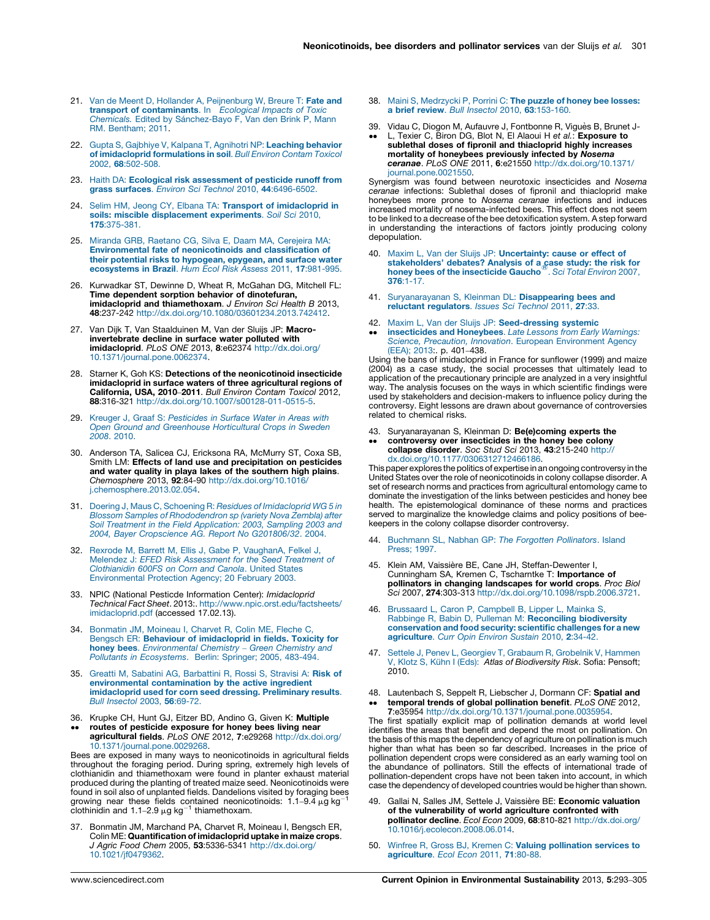- <span id="page-8-0"></span>21. Van de Meent D, Hollander A, [Peijnenburg](http://refhub.elsevier.com/S1877-3435(13)00049-3/sbref0105) W, Breure T: Fate and<br>transport of [contaminants](http://refhub.elsevier.com/S1877-3435(13)00049-3/sbref0105). In Ecological Impacts of Toxic Chemicals. Edited by Sá[nchez-Bayo](http://refhub.elsevier.com/S1877-3435(13)00049-3/sbref0105) F, Van den Brink P, Mann RM. [Bentham;](http://refhub.elsevier.com/S1877-3435(13)00049-3/sbref0105) 2011.
- 22. Gupta S, Gajbhiye V, Kalpana T, Agnihotri NP: [Leaching](http://refhub.elsevier.com/S1877-3435(13)00049-3/sbref0110) behavior of imidacloprid [formulations](http://refhub.elsevier.com/S1877-3435(13)00049-3/sbref0110) in soil. Bull Environ Contam Toxicol 2002, 68[:502-508.](http://refhub.elsevier.com/S1877-3435(13)00049-3/sbref0110)
- 23. Haith DA: Ecological risk [assessment](http://refhub.elsevier.com/S1877-3435(13)00049-3/sbref0115) of pesticide runoff from grass surfaces. Environ Sci Technol 2010, 44[:6496-6502.](http://refhub.elsevier.com/S1877-3435(13)00049-3/sbref0115)
- 24. Selim HM, Jeong CY, Elbana TA: Transport of [imidacloprid](http://refhub.elsevier.com/S1877-3435(13)00049-3/sbref0120) in<br>soils: miscible [displacement](http://refhub.elsevier.com/S1877-3435(13)00049-3/sbref0120) experiments. Soil Sci 2010, 175[:375-381.](http://refhub.elsevier.com/S1877-3435(13)00049-3/sbref0120)
- 25. Miranda GRB, Raetano CG, Silva E, Daam MA, [Cerejeira](http://refhub.elsevier.com/S1877-3435(13)00049-3/sbref0125) MA: Environmental fate of [neonicotinoids](http://refhub.elsevier.com/S1877-3435(13)00049-3/sbref0125) and classification of their potential risks to [hypogean,](http://refhub.elsevier.com/S1877-3435(13)00049-3/sbref0125) epygean, and surface water [ecosystems](http://refhub.elsevier.com/S1877-3435(13)00049-3/sbref0125) in Brazil. Hum Ecol Risk Assess 2011, 17:981-995.
- 26. Kurwadkar ST, Dewinne D, Wheat R, McGahan DG, Mitchell FL: Time dependent sorption behavior of dinotefuran, imidacloprid and thiamethoxam. J Environ Sci Health B 2013, 48:237-242 [http://dx.doi.org/10.1080/03601234.2013.742412.](http://dx.doi.org/10.1080/03601234.2013.742412)
- 27. Van Dijk T, Van Staalduinen M, Van der Sluijs JP: Macroinvertebrate decline in surface water polluted with imidacloprid. PLoS ONE 2013, 8:e62374 [http://dx.doi.org/](http://dx.doi.org/10.1371/journal.pone.0062374) [10.1371/journal.pone.0062374](http://dx.doi.org/10.1371/journal.pone.0062374).
- 28. Starner K, Goh KS: Detections of the neonicotinoid insecticide imidacloprid in surface waters of three agricultural regions of California, USA, 2010–2011. Bull Environ Contam Toxicol 2012, 88:316-321 <http://dx.doi.org/10.1007/s00128-011-0515-5>.
- 29. Kreuger J. Graaf S: [Pesticides](http://refhub.elsevier.com/S1877-3435(13)00049-3/sbref0145) in Surface Water in Areas with Open Ground and [Greenhouse](http://refhub.elsevier.com/S1877-3435(13)00049-3/sbref0145) Horticultural Crops in Sweden 2008. [2010.](http://refhub.elsevier.com/S1877-3435(13)00049-3/sbref0145)
- 30. Anderson TA, Salicea CJ, Ericksona RA, McMurry ST, Coxa SB, Smith LM: Effects of land use and precipitation on pesticides and water quality in playa lakes of the southern high plains. Chemosphere 2013, 92:84-90 [http://dx.doi.org/10.1016/](http://dx.doi.org/10.1016/j.chemosphere.2013.02.054) [j.chemosphere.2013.02.054](http://dx.doi.org/10.1016/j.chemosphere.2013.02.054).
- 31. Doering J, Maus C, Schoening R: Residues of [Imidacloprid](http://refhub.elsevier.com/S1877-3435(13)00049-3/sbref0155) WG 5 in Blossom Samples of [Rhododendron](http://refhub.elsevier.com/S1877-3435(13)00049-3/sbref0155) sp (variety Nova Zembla) after Soil Treatment in the Field [Application:](http://refhub.elsevier.com/S1877-3435(13)00049-3/sbref0155) 2003, Sampling 2003 and 2004, Bayer [Cropscience](http://refhub.elsevier.com/S1877-3435(13)00049-3/sbref0155) AG. Report No G201806/32. 2004.
- 32. Rexrode M, Barrett M, Ellis J, Gabe P, [VaughanA,](http://refhub.elsevier.com/S1877-3435(13)00049-3/sbref0160) Felkel J, Melendez J: EFED Risk [Assessment](http://refhub.elsevier.com/S1877-3435(13)00049-3/sbref0160) for the Seed Treatment of [Clothianidin](http://refhub.elsevier.com/S1877-3435(13)00049-3/sbref0160) 600FS on Corn and Canola. United States [Environmental](http://refhub.elsevier.com/S1877-3435(13)00049-3/sbref0160) Protection Agency; 20 February 2003[.](http://refhub.elsevier.com/S1877-3435(13)00049-3/sbref0160)
- 33. NPIC (National Pesticde Information Center): Imidacloprid Technical Fact Sheet. 2013:. [http://www.npic.orst.edu/factsheets/](http://www.npic.orst.edu/factsheets/imidacloprid.pdf) [imidacloprid.pdf](http://www.npic.orst.edu/factsheets/imidacloprid.pdf) (accessed 17.02.13).
- 34. [Bonmatin](http://refhub.elsevier.com/S1877-3435(13)00049-3/sbref0170) JM, Moineau I, Charvet R, Colin ME, Fleche C, Bengsch ER: Behaviour of [imidacloprid](http://refhub.elsevier.com/S1877-3435(13)00049-3/sbref0170) in fields. Toxicity for **honey bees**. [Environmental](http://refhub.elsevier.com/S1877-3435(13)00049-3/sbref0170) Chemistry – Green Chemistry and<br>Pollutants in [Ecosystems](http://refhub.elsevier.com/S1877-3435(13)00049-3/sbref0170). Berlin: Springer; 2005, 483-494.
- 35. Greatti M, Sabatini AG, [Barbattini](http://refhub.elsevier.com/S1877-3435(13)00049-3/sbref0175) R, Rossi S, Stravisi A: Risk of environmental [contamination](http://refhub.elsevier.com/S1877-3435(13)00049-3/sbref0175) by the active ingredient [imidacloprid](http://refhub.elsevier.com/S1877-3435(13)00049-3/sbref0175) used for corn seed dressing. Preliminary results. Bull [Insectol](http://refhub.elsevier.com/S1877-3435(13)00049-3/sbref0175) 2003, 56:69-72.
- 36. Krupke CH, Hunt GJ, Eitzer BD, Andino G, Given K: Multiple
- $\bullet \bullet$ routes of pesticide exposure for honey bees living near agricultural fields. PLoS ONE 2012, 7:e29268 [http://dx.doi.org/](http://dx.doi.org/10.1371/journal.pone.0029268) [10.1371/journal.pone.0029268](http://dx.doi.org/10.1371/journal.pone.0029268).

Bees are exposed in many ways to neonicotinoids in agricultural fields throughout the foraging period. During spring, extremely high levels of clothianidin and thiamethoxam were found in planter exhaust material produced during the planting of treated maize seed. Neonicotinoids were<br>found in soil also of unplanted fields. Dandelions visited by foraging bees<br>growing, pear, these, fields, contained, poopicotinoids: 1,1,9,4,,g kg=1 growing near these fields contained neonicotinoids: 1.1–9.4 μg kg<sup>-</sup><br>clothinidin and 1.1–2.9 μg kg<sup>-1</sup> thiamethoxam.

37. Bonmatin JM, Marchand PA, Charvet R, Moineau I, Bengsch ER, Colin ME: Quantification of imidacloprid uptake in maize crops. J Agric Food Chem 2005, 53:5336-5341 [http://dx.doi.org/](http://dx.doi.org/10.1021/jf0479362) [10.1021/jf0479362](http://dx.doi.org/10.1021/jf0479362).

- 38. Maini S, [Medrzycki](http://refhub.elsevier.com/S1877-3435(13)00049-3/sbref0190) P, Porrini C: The puzzle of honey bee losses: a brief review. Bull Insectol 2010, 63[:153-160.](http://refhub.elsevier.com/S1877-3435(13)00049-3/sbref0190)
- 39.
- $\bullet \bullet$ Vidau C, Diogon M, Aufauvre J, Fontbonne R, Viguès B, Brunet J-<br>L, Texier C, Biron DG, Blot N, El Alaoui H e*t al.*: **Exposure to**<br>**sublethal doses of fipronil and thiacloprid highly increases** mortality of honeybees previously infected by Nosema ceranae. PLoS ONE 2011, 6:e21550 [http://dx.doi.org/10.1371/](http://dx.doi.org/10.1371/journal.pone.0021550) [journal.pone.0021550.](http://dx.doi.org/10.1371/journal.pone.0021550)

Synergism was found between neurotoxic insecticides and Nosema ceranae infections: Sublethal doses of fipronil and thiacloprid make honeybees more prone to Nosema ceranae infections and induces increased mortality of nosema-infected bees. This effect does not seem to be linked to a decrease of the bee detoxification system. A step forward in understanding the interactions of factors jointly producing colony depopulation.

- 40. Maxim L, Van der Sluijs JP: [Uncertainty:](http://refhub.elsevier.com/S1877-3435(13)00049-3/sbref0200) cause or effect of [stakeholders'](http://refhub.elsevier.com/S1877-3435(13)00049-3/sbref0200) debates? Analysis of a case study: the risk for honey bees of the [insecticide](http://refhub.elsevier.com/S1877-3435(13)00049-3/sbref0200) Gaucho<sup>®</sup>. Sci Total [Environ](http://refhub.elsevier.com/S1877-3435(13)00049-3/sbref0200) 2007, 376[:1-17.](http://refhub.elsevier.com/S1877-3435(13)00049-3/sbref0200)
- 41. [Suryanarayanan](http://refhub.elsevier.com/S1877-3435(13)00049-3/sbref0205) S, Kleinman DL: Disappearing bees and reluctant [regulators](http://refhub.elsevier.com/S1877-3435(13)00049-3/sbref0205). Issues Sci Technol 2011, 27:33.
- 42. Maxim L, Van der Sluijs JP: [Seed-dressing](http://refhub.elsevier.com/S1877-3435(13)00049-3/sbref0210) systemic
- $\bullet \bullet$ [insecticides](http://refhub.elsevier.com/S1877-3435(13)00049-3/sbref0210) and Honeybees. Late Lessons from Early Warnings:<br>Science, Precaution, Innovation. European [Environment](http://refhub.elsevier.com/S1877-3435(13)00049-3/sbref0210) Agency [\(EEA\);](http://refhub.elsevier.com/S1877-3435(13)00049-3/sbref0210) 2013:. p. 401–[438.](http://refhub.elsevier.com/S1877-3435(13)00049-3/sbref0210)

Using the bans of imidacloprid in France for sunflower (1999) and maize (2004) as a case study, the social processes that ultimately lead to application of the precautionary principle are analyzed in a very insightful way. The analysis focuses on the ways in which scientific findings were used by stakeholders and decision-makers to influence policy during the controversy. Eight lessons are drawn about governance of controversies related to chemical risks.

- 43. Suryanarayanan S, Kleinman D: Be(e)coming experts the  $\bullet \bullet$ controversy over insecticides in the honey bee colony
	- collapse disorder. Soc Stud Sci 2013, 43:215-240 [http://](http://dx.doi.org/10.1177/0306312712466186) [dx.doi.org/10.1177/0306312712466186.](http://dx.doi.org/10.1177/0306312712466186)

This paper explores the politics of expertise in an ongoing controversy in the United States over the role of neonicotinoids in colony collapse disorder. A set of research norms and practices from agricultural entomology came to dominate the investigation of the links between pesticides and honey bee health. The epistemological dominance of these norms and practices served to marginalize the knowledge claims and policy positions of beekeepers in the colony collapse disorder controversy.

- 44. [Buchmann](http://refhub.elsevier.com/S1877-3435(13)00049-3/sbref0220) SL, Nabhan GP: The Forgotten Pollinators. Island [Press;](http://refhub.elsevier.com/S1877-3435(13)00049-3/sbref0220) 1997[.](http://refhub.elsevier.com/S1877-3435(13)00049-3/sbref0220)
- 45. Klein AM, Vaissière BE, Cane JH, Steffan-Dewenter I, Cunningham SA, Kremen C, Tscharntke T: Importance of pollinators in changing landscapes for world crops. Proc Biol Sci 2007, 274:303-313 <http://dx.doi.org/10.1098/rspb.2006.3721>.
- 46. [Brussaard](http://refhub.elsevier.com/S1877-3435(13)00049-3/sbref0230) L, Caron P, Campbell B, Lipper L, Mainka S,<br>Rabbinge R, Babin D, Pulleman M: [Reconciling](http://refhub.elsevier.com/S1877-3435(13)00049-3/sbref0230) biodiversity [conservation](http://refhub.elsevier.com/S1877-3435(13)00049-3/sbref0230) and food security: scientific challenges for a new [agriculture](http://refhub.elsevier.com/S1877-3435(13)00049-3/sbref0230). Curr Opin Environ Sustain 2010, 2:34-42.
- 47. Settele J, Penev L, Georgiev T, Grabaum R, [Grobelnik](http://refhub.elsevier.com/S1877-3435(13)00049-3/sbref0235) V, Hammen V, Klotz S, Kühn I (Eds): Atlas of [Biodiversity](http://refhub.elsevier.com/S1877-3435(13)00049-3/sbref0235) Risk. Sofia: Pensoft; 2010.
- 48. Lautenbach S, Seppelt R, Liebscher J, Dormann CF: Spatial and  $\bullet \bullet$ temporal trends of global pollination benefit. PLoS ONE 2012, 7:e35954 [http://dx.doi.org/10.1371/journal.pone.0035954.](http://dx.doi.org/10.1371/journal.pone.0035954)

The first spatially explicit map of pollination demands at world level identifies the areas that benefit and depend the most on pollination. On the basis of this maps the dependency of agriculture on pollination is much higher than what has been so far described. Increases in the price of pollination dependent crops were considered as an early warning tool on the abundance of pollinators. Still the effects of international trade of pollination-dependent crops have not been taken into account, in which case the dependency of developed countries would be higher than shown.

- 49. Gallai N, Salles JM, Settele J, Vaissière BE: Economic valuation of the vulnerability of world agriculture confronted with pollinator decline. Ecol Econ 2009, 68:810-821 [http://dx.doi.org/](http://dx.doi.org/10.1016/j.ecolecon.2008.06.014) [10.1016/j.ecolecon.2008.06.014.](http://dx.doi.org/10.1016/j.ecolecon.2008.06.014)
- 50. Winfree R, Gross BJ, Kremen C: Valuing [pollination](http://refhub.elsevier.com/S1877-3435(13)00049-3/sbref0250) services to [agriculture](http://refhub.elsevier.com/S1877-3435(13)00049-3/sbref0250). Ecol Econ 2011, 71:80-88.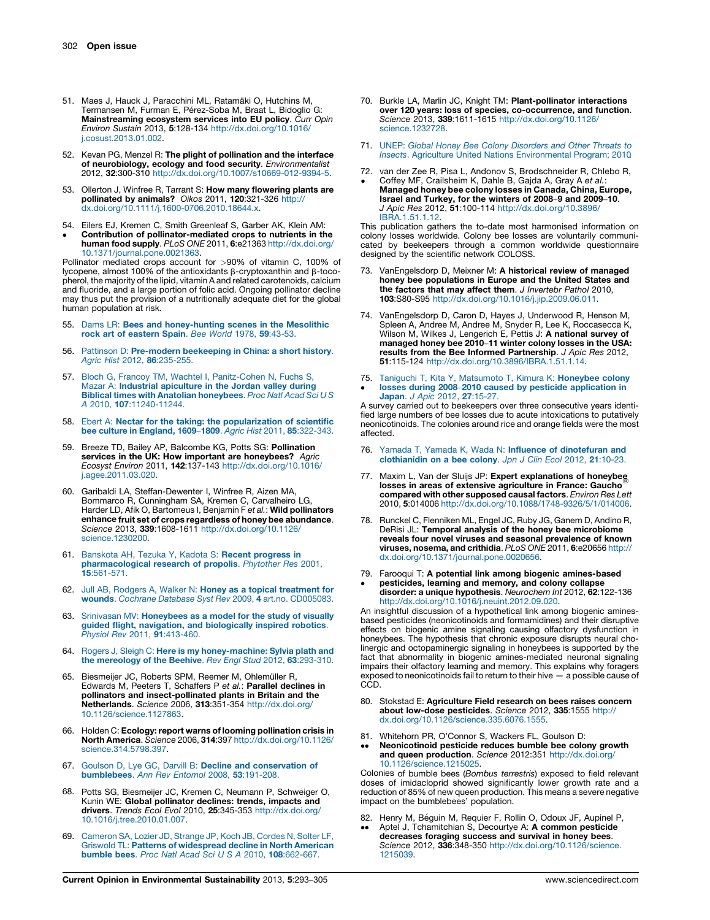- <span id="page-9-0"></span>51. Maes J, Hauck J, Paracchini ML, Ratamäki O, Hutchins M, Termansen M, Furman E, Pérez-Soba M, Braat L, Bidoglio G: Mainstreaming ecosystem services into EU policy. Curr Opin Environ Sustain 2013, 5:128-134 [http://dx.doi.org/10.1016/](http://dx.doi.org/10.1016/j.cosust.2013.01.002) [j.cosust.2013.01.002.](http://dx.doi.org/10.1016/j.cosust.2013.01.002)
- 52. Kevan PG, Menzel R: The plight of pollination and the interface of neurobiology, ecology and food security. Environmentalist 2012, 32:300-310 <http://dx.doi.org/10.1007/s10669-012-9394-5>.
- 53. Ollerton J, Winfree R, Tarrant S: How many flowering plants are pollinated by animals? Oikos 2011, 120:321-326 [http://](http://dx.doi.org/10.1111/j.1600-0706.2010.18644.x) [dx.doi.org/10.1111/j.1600-0706.2010.18644.x](http://dx.doi.org/10.1111/j.1600-0706.2010.18644.x).
- 54. Eilers EJ, Kremen C, Smith Greenleaf S, Garber AK, Klein AM:
- $\bullet$ Contribution of pollinator-mediated crops to nutrients in the human food supply. PLoS ONE 2011, 6:e21363 [http://dx.doi.org/](http://dx.doi.org/10.1371/journal.pone.0021363) [10.1371/journal.pone.0021363](http://dx.doi.org/10.1371/journal.pone.0021363).

Pollinator mediated crops account for >90% of vitamin C, 100% of lycopene, almost 100% of the antioxidants  $\beta$ -cryptoxanthin and  $\beta$ -tocopherol, the majority of the lipid, vitamin A and related carotenoids, calcium and fluoride, and a large portion of folic acid. Ongoing pollinator decline may thus put the provision of a nutritionally adequate diet for the global human population at risk.

- 55. Dams LR: Bees and [honey-hunting](http://refhub.elsevier.com/S1877-3435(13)00049-3/sbref0275) scenes in the Mesolithic rock art of [eastern](http://refhub.elsevier.com/S1877-3435(13)00049-3/sbref0275) Spain. Bee World 1978, 59:43-53.
- 56. Pattinson D: [Pre-modern](http://refhub.elsevier.com/S1877-3435(13)00049-3/sbref0280) beekeeping in China: a short history. Agric Hist 2012, 86[:235-255.](http://refhub.elsevier.com/S1877-3435(13)00049-3/sbref0280)
- 57. Bloch G, Francoy TM, Wachtel I, [Panitz-Cohen](http://refhub.elsevier.com/S1877-3435(13)00049-3/sbref0285) N, Fuchs S, Mazar A: Industrial [apiculture](http://refhub.elsevier.com/S1877-3435(13)00049-3/sbref0285) in the Jordan valley during Biblical times with Anatolian [honeybees](http://refhub.elsevier.com/S1877-3435(13)00049-3/sbref0285). Proc Natl Acad Sci U S A 2010, 107[:11240-11244.](http://refhub.elsevier.com/S1877-3435(13)00049-3/sbref0285)
- 58. Ebert A: Nectar for the taking: the [popularization](http://refhub.elsevier.com/S1877-3435(13)00049-3/sbref0290) of scientific bee culture in England, 1609–1809. Agric Hist 2011, 85[:322-343.](http://refhub.elsevier.com/S1877-3435(13)00049-3/sbref0290)
- 59. Breeze TD, Bailey AP, Balcombe KG, Potts SG: Pollination services in the UK: How important are honeybees? Agric Ecosyst Environ 2011, 142:137-143 [http://dx.doi.org/10.1016/](http://dx.doi.org/10.1016/j.agee.2011.03.020) [j.agee.2011.03.020.](http://dx.doi.org/10.1016/j.agee.2011.03.020)
- 60. Garibaldi LA, Steffan-Dewenter I, Winfree R, Aizen MA, Bommarco R, Cunningham SA, Kremen C, Carvalheiro LG, Harder LD, Afik O, Bartomeus I, Benjamin F et al.: Wild pollinators enhance fruit set of crops regardless of honey bee abundance. Science 2013, 339:1608-1611 [http://dx.doi.org/10.1126/](http://dx.doi.org/10.1126/science.1230200) [science.1230200.](http://dx.doi.org/10.1126/science.1230200)
- 61. Banskota AH, Tezuka Y, Kadota S: Recent [progress](http://refhub.elsevier.com/S1877-3435(13)00049-3/sbref0305) in [pharmacological](http://refhub.elsevier.com/S1877-3435(13)00049-3/sbref0305) research of propolis. Phytother Res 2001, 15[:561-571.](http://refhub.elsevier.com/S1877-3435(13)00049-3/sbref0305)
- 62. Jull AB, Rodgers A, Walker N: Honey as a topical [treatment](http://refhub.elsevier.com/S1877-3435(13)00049-3/sbref0310) for wounds. Cochrane Database Syst Rev 2009, 4 art.no. [CD005083.](http://refhub.elsevier.com/S1877-3435(13)00049-3/sbref0310)
- 63. Srinivasan MV: [Honeybees](http://refhub.elsevier.com/S1877-3435(13)00049-3/sbref0315) as a model for the study of visually guided flight, navigation, and [biologically](http://refhub.elsevier.com/S1877-3435(13)00049-3/sbref0315) inspired robotics. Physiol Rev 2011, 91[:413-460.](http://refhub.elsevier.com/S1877-3435(13)00049-3/sbref0315)
- 64. Rogers J, Sleigh C: Here is my [honey-machine:](http://refhub.elsevier.com/S1877-3435(13)00049-3/sbref0320) Sylvia plath and the [mereology](http://refhub.elsevier.com/S1877-3435(13)00049-3/sbref0320) of the Beehive. Rev Engl Stud 2012, 63:293-310.
- 65. Biesmeijer JC, Roberts SPM, Reemer M, Ohlemüller R,<br>Edwards M, Peeters T, Schaffers P *et al.*: **Parallel declines in** pollinators and insect-pollinated plants in Britain and the Netherlands. Science 2006, 313:351-354 [http://dx.doi.org/](http://dx.doi.org/10.1126/science.1127863) [10.1126/science.1127863](http://dx.doi.org/10.1126/science.1127863).
- 66. Holden C: **Ecology: report warns of looming pollination crisis in**<br>N**orth America**. Science 2006, **314**:397 [http://dx.doi.org/10.1126/](http://dx.doi.org/10.1126/science.314.5798.397) [science.314.5798.397.](http://dx.doi.org/10.1126/science.314.5798.397)
- 67. Goulson D, Lye GC, Darvill B: Decline and [conservation](http://refhub.elsevier.com/S1877-3435(13)00049-3/sbref0335) of [bumblebees](http://refhub.elsevier.com/S1877-3435(13)00049-3/sbref0335). Ann Rev Entomol 2008, 53:191-208.
- 68. Potts SG, Biesmeijer JC, Kremen C, Neumann P, Schweiger O, Kunin WE: **Global pollinator declines: trends, impacts and**<br>**drivers**. *Trends Ecol Evol* 2010, **25**:345-353 [http://dx.doi.org/](http://dx.doi.org/10.1016/j.tree.2010.01.007) [10.1016/j.tree.2010.01.007.](http://dx.doi.org/10.1016/j.tree.2010.01.007)
- 69. [Cameron](http://refhub.elsevier.com/S1877-3435(13)00049-3/sbref0345) SA, Lozier JD, Strange JP, Koch JB, Cordes N, Solter LF, Griswold TL: Patterns of [widespread](http://refhub.elsevier.com/S1877-3435(13)00049-3/sbref0345) decline in North American bumble bees. Proc Natl Acad Sci U S A 2010, 108[:662-667.](http://refhub.elsevier.com/S1877-3435(13)00049-3/sbref0345)
- 70. Burkle LA, Marlin JC, Knight TM: Plant-pollinator interactions over 120 years: loss of species, co-occurrence, and function. Science 2013, 339:1611-1615 [http://dx.doi.org/10.1126/](http://dx.doi.org/10.1126/science.1232728) [science.1232728](http://dx.doi.org/10.1126/science.1232728).
- 71. UNEP: Global Honey Bee Colony [Disorders](http://refhub.elsevier.com/S1877-3435(13)00049-3/sbref0355) and Other Threats to Insects. Agriculture United Nations [Environmental](http://refhub.elsevier.com/S1877-3435(13)00049-3/sbref0355) Program; 201[0.](http://refhub.elsevier.com/S1877-3435(13)00049-3/sbref0355)
- 72. van der Zee R, Pisa L, Andonov S, Brodschneider R, Chlebo R,  $\bullet$ Coffey MF, Crailsheim K, Dahle B, Gajda A, Gray A et al.: Managed honey bee colony losses in Canada, China, Europe, Israel and Turkey, for the winters of 2008–9 and 2009–10. J Apic Res 2012, 51:100-114 [http://dx.doi.org/10.3896/](http://dx.doi.org/10.3896/IBRA.1.51.1.12) [IBRA.1.51.1.12](http://dx.doi.org/10.3896/IBRA.1.51.1.12).

This publication gathers the to-date most harmonised information on colony losses worldwide. Colony bee losses are voluntarily communicated by beekeepers through a common worldwide questionnaire designed by the scientific network COLOSS.

- 73. VanEngelsdorp D, Meixner M: A historical review of managed honey bee populations in Europe and the United States and the factors that may affect them. J Invertebr Pathol 2010, 103:S80-S95 [http://dx.doi.org/10.1016/j.jip.2009.06.011.](http://dx.doi.org/10.1016/j.jip.2009.06.011)
- 74. VanEngelsdorp D, Caron D, Hayes J, Underwood R, Henson M, Spleen A, Andree M, Andree M, Snyder R, Lee K, Roccasecca K, Wilson M, Wilkes J, Lengerich E, Pettis J: A national survey of managed honey bee 2010–11 winter colony losses in the USA: results from the Bee Informed Partnership. J Apic Res 2012, 51:115-124 <http://dx.doi.org/10.3896/IBRA.1.51.1.14>.
- 75. Taniguchi T, Kita Y, [Matsumoto](http://refhub.elsevier.com/S1877-3435(13)00049-3/sbref0375) T, Kimura K: Honeybee colony  $\bullet$ losses during 2008–2010 caused by pesticide [application](http://refhub.elsevier.com/S1877-3435(13)00049-3/sbref0375) in Japan. J Apic 2012, 27[:15-27.](http://refhub.elsevier.com/S1877-3435(13)00049-3/sbref0375)

A survey carried out to beekeepers over three consecutive years identified large numbers of bee losses due to acute intoxications to putatively neonicotinoids. The colonies around rice and orange fields were the most affected.

- 76. Yamada T, Yamada K, Wada N: Influence of [dinotefuran](http://refhub.elsevier.com/S1877-3435(13)00049-3/sbref0380) and [clothianidin](http://refhub.elsevier.com/S1877-3435(13)00049-3/sbref0380) on a bee colony. Jpn J Clin Ecol 2012, 21:10-23.
- 77. Maxim L, Van der Sluijs JP: Expert explanations of honeybee losses in areas of extensive agriculture in France: Gaucho compared with other supposed causal factors. Environ Res Lett 2010, 5:014006 <http://dx.doi.org/10.1088/1748-9326/5/1/014006>.
- 78. Runckel C, Flenniken ML, Engel JC, Ruby JG, Ganem D, Andino R, DeRisi JL: Temporal analysis of the honey bee microbiome reveals four novel viruses and seasonal prevalence of known viruses, nosema, and crithidia. PLoS ONE 2011, 6:e20656 [http://](http://dx.doi.org/10.1371/journal.pone.0020656) [dx.doi.org/10.1371/journal.pone.0020656.](http://dx.doi.org/10.1371/journal.pone.0020656)
- 79. Farooqui T: A potential link among biogenic amines-based

 $\bullet$ 

pesticides, learning and memory, and colony collapse<br>disorder: a unique hypothesis. Neurochem Int 2012, 62:122-136 <http://dx.doi.org/10.1016/j.neuint.2012.09.020>.

An insightful discussion of a hypothetical link among biogenic aminesbased pesticides (neonicotinoids and formamidines) and their disruptive effects on biogenic amine signaling causing olfactory dysfunction in honeybees. The hypothesis that chronic exposure disrupts neural cholinergic and octopaminergic signaling in honeybees is supported by the fact that abnormality in biogenic amines-mediated neuronal signaling impairs their olfactory learning and memory. This explains why foragers exposed to neonicotinoids fail to return to their hive — a possible cause of CCD.

- 80. Stokstad E: Agriculture Field research on bees raises concern about low-dose pesticides. Science 2012, 335:1555 [http://](http://dx.doi.org/10.1126/science.335.6076.1555) [dx.doi.org/10.1126/science.335.6076.1555.](http://dx.doi.org/10.1126/science.335.6076.1555)
- 81. Whitehorn PR, O'Connor S, Wackers FL, Goulson D:
- $\bullet \bullet$ Neonicotinoid pesticide reduces bumble bee colony growth and queen production. Science 2012:351 [http://dx.doi.org/](http://dx.doi.org/10.1126/science.1215025) [10.1126/science.1215025.](http://dx.doi.org/10.1126/science.1215025)

Colonies of bumble bees (Bombus terrestris) exposed to field relevant doses of imidacloprid showed significantly lower growth rate and a reduction of 85% of new queen production. This means a severe negative impact on the bumblebees' population.

82. Henry M, Béguin M, Requier F, Rollin O, Odoux JF, Aupinel P,  $\bullet \bullet$ Aptel J, Tchamitchian S, Decourtye A: A common pesticide decreases foraging success and survival in honey bees. Science 2012, 336:348-350 [http://dx.doi.org/10.1126/science.](http://dx.doi.org/10.1126/science. 1215039) [1215039](http://dx.doi.org/10.1126/science. 1215039).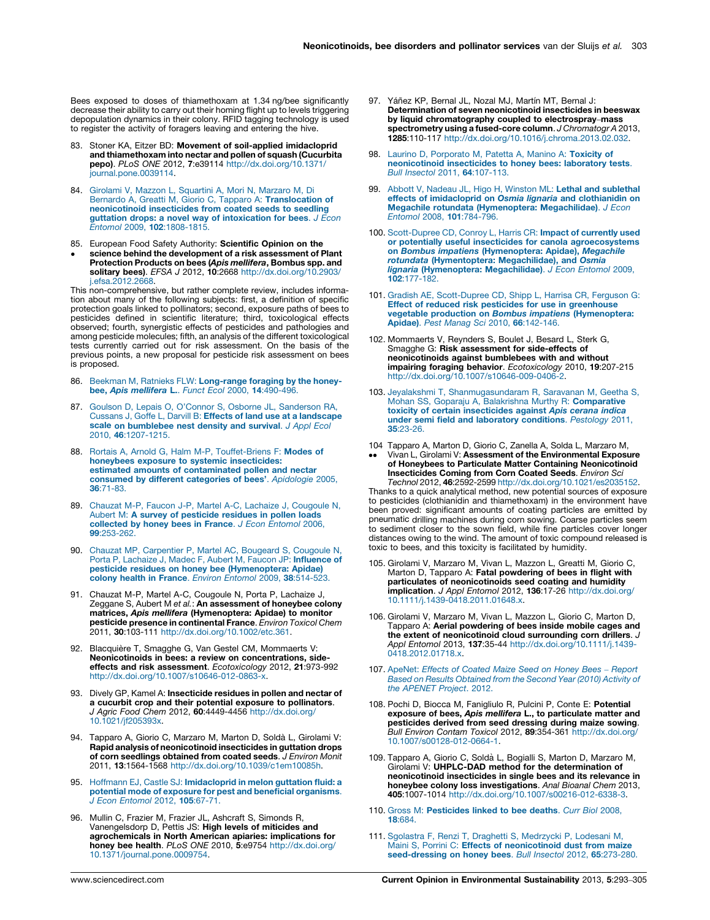<span id="page-10-0"></span>Bees exposed to doses of thiamethoxam at 1.34 ng/bee significantly decrease their ability to carry out their homing flight up to levels triggering depopulation dynamics in their colony. RFID tagging technology is used to register the activity of foragers leaving and entering the hive.

- 83. Stoner KA, Eitzer BD: Movement of soil-applied imidacloprid and thiamethoxam into nectar and pollen of squash (Cucurbita pepo). PLoS ONE 2012, 7:e39114 [http://dx.doi.org/10.1371/](http://dx.doi.org/10.1371/journal.pone.0039114) [journal.pone.0039114.](http://dx.doi.org/10.1371/journal.pone.0039114)
- 84. Girolami V, Mazzon L, [Squartini](http://refhub.elsevier.com/S1877-3435(13)00049-3/sbref0420) A, Mori N, Marzaro M, Di<br>Bernardo A, Greatti M, Giorio C, Tapparo A: **[Translocation](http://refhub.elsevier.com/S1877-3435(13)00049-3/sbref0420) of** [neonicotinoid](http://refhub.elsevier.com/S1877-3435(13)00049-3/sbref0420) insecticides from coated seeds to seedling quttation drops: a novel way of [intoxication](http://refhub.elsevier.com/S1877-3435(13)00049-3/sbref0420) for bees.  $J \vec{E}$ con Entomol 2009, 102[:1808-1815.](http://refhub.elsevier.com/S1877-3435(13)00049-3/sbref0420)
- 85. European Food Safety Authority: Scientific Opinion on the
- $\bullet$ science behind the development of a risk assessment of Plant Protection Products on bees (A*pis mellifera*, Bombus spp. and<br>solitary bees). *EFSA J 2*012, 10:2668 [http://dx.doi.org/10.2903/](http://dx.doi.org/10.2903/j.efsa.2012.2668) [j.efsa.2012.2668](http://dx.doi.org/10.2903/j.efsa.2012.2668).

This non-comprehensive, but rather complete review, includes information about many of the following subjects: first, a definition of specific protection goals linked to pollinators; second, exposure paths of bees to pesticides defined in scientific literature; third, toxicological effects observed; fourth, synergistic effects of pesticides and pathologies and among pesticide molecules; fifth, an analysis of the different toxicological tests currently carried out for risk assessment. On the basis of the previous points, a new proposal for pesticide risk assessment on bees is proposed.

- 86. Beekman M, Ratnieks FLW: [Long-range](http://refhub.elsevier.com/S1877-3435(13)00049-3/sbref0430) foraging by the honeybee, Apis mellifera L.. Funct Ecol 2000, 14[:490-496.](http://refhub.elsevier.com/S1877-3435(13)00049-3/sbref0430)
- 87. Goulson D, Lepais O, O'Connor S, Osborne JL, [Sanderson](http://refhub.elsevier.com/S1877-3435(13)00049-3/sbref0435) RA, Cussans J, Goffe L, Darvill B: Effects of land use at a [landscape](http://refhub.elsevier.com/S1877-3435(13)00049-3/sbref0435) scale on [bumblebee](http://refhub.elsevier.com/S1877-3435(13)00049-3/sbref0435) nest density and survival. J Appl Ecol 2010, 46[:1207-1215.](http://refhub.elsevier.com/S1877-3435(13)00049-3/sbref0435)
- 88. Rortais A, Arnold G, Halm M-P, [Touffet-Briens](http://refhub.elsevier.com/S1877-3435(13)00049-3/sbref0440) F: Modes of honeybees exposure to systemic [insecticides:](http://refhub.elsevier.com/S1877-3435(13)00049-3/sbref0440) estimated amounts of [contaminated](http://refhub.elsevier.com/S1877-3435(13)00049-3/sbref0440) pollen and nectar consumed by different [categories](http://refhub.elsevier.com/S1877-3435(13)00049-3/sbref0440) of bees'. Apidologie 2005, 36[:71-83.](http://refhub.elsevier.com/S1877-3435(13)00049-3/sbref0440)
- 89. Chauzat M-P, Faucon J-P, Martel A-C, Lachaize J, [Cougoule](http://refhub.elsevier.com/S1877-3435(13)00049-3/sbref0445) N, Aubert M: A survey of [pesticide](http://refhub.elsevier.com/S1877-3435(13)00049-3/sbref0445) residues in pollen loads [collected](http://refhub.elsevier.com/S1877-3435(13)00049-3/sbref0445) by honey bees in France. J Econ Entomol 2006, 99[:253-262.](http://refhub.elsevier.com/S1877-3435(13)00049-3/sbref0445)
- 90. Chauzat MP, [Carpentier](http://refhub.elsevier.com/S1877-3435(13)00049-3/sbref0450) P, Martel AC, Bougeard S, Cougoule N, Porta P, Lachaize J, Madec F, Aubert M, Faucon JP: [Influence](http://refhub.elsevier.com/S1877-3435(13)00049-3/sbref0450) of pesticide residues on honey bee [\(Hymenoptera:](http://refhub.elsevier.com/S1877-3435(13)00049-3/sbref0450) Apidae) colony health in France. Environ Entomol 2009, 38[:514-523.](http://refhub.elsevier.com/S1877-3435(13)00049-3/sbref0450)
- 91. Chauzat M-P, Martel A-C, Cougoule N, Porta P, Lachaize J, Zeggane S, Aubert M et al.: An assessment of honeybee colony matrices, Apis mellifera (Hymenoptera: Apidae) to monitor pesticide presence in continental France. Environ Toxicol Chem 2011, 30:103-111 <http://dx.doi.org/10.1002/etc.361>.
- 92. Blacquière T, Smagghe G, Van Gestel CM, Mommaerts V: Neonicotinoids in bees: a review on concentrations, sideeffects and risk assessment. Ecotoxicology 2012, 21:973-992 <http://dx.doi.org/10.1007/s10646-012-0863-x>.
- 93. Dively GP, Kamel A: Insecticide residues in pollen and nectar of a cucurbit crop and their potential exposure to pollinators. J Agric Food Chem 2012, 60:4449-4456 [http://dx.doi.org/](http://dx.doi.org/10.1021/jf205393x) [10.1021/jf205393x](http://dx.doi.org/10.1021/jf205393x).
- 94. Tapparo A, Giorio C, Marzaro M, Marton D, Soldà L, Girolami V: Rapid analysis of neonicotinoid insecticides in guttation drops of corn seedlings obtained from coated seeds. J Environ Monit 2011, 13:1564-1568 [http://dx.doi.org/10.1039/c1em10085h.](http://dx.doi.org/10.1039/c1em10085h)
- 95. Hoffmann EJ, Castle SJ: [Imidacloprid](http://refhub.elsevier.com/S1877-3435(13)00049-3/sbref0475) in melon guttation fluid: a potential mode of exposure for pest and beneficial [organisms](http://refhub.elsevier.com/S1877-3435(13)00049-3/sbref0475). J Econ [Entomol](http://refhub.elsevier.com/S1877-3435(13)00049-3/sbref0475) 2012, 105:67-71.
- 96. Mullin C, Frazier M, Frazier JL, Ashcraft S, Simonds R, Vanengelsdorp D, Pettis JS: High levels of miticides and agrochemicals in North American apiaries: implications for honey bee health. PLoS ONE 2010, 5:e9754 [http://dx.doi.org/](http://dx.doi.org/10.1371/journal.pone.0009754) [10.1371/journal.pone.0009754](http://dx.doi.org/10.1371/journal.pone.0009754).
- 97. Yáñez KP, Bernal JL, Nozal MJ, Martín MT, Bernal J: Determination of seven neonicotinoid insecticides in beeswax by liquid chromatography coupled to electrospray–mass spectrometry using a fused-core column. J Chromatogr A 2013, 1285:110-117 <http://dx.doi.org/10.1016/j.chroma.2013.02.032>.
- 98. Laurino D, [Porporato](http://refhub.elsevier.com/S1877-3435(13)00049-3/sbref0490) M, Patetta A, Manino A: Toxicity of [neonicotinoid](http://refhub.elsevier.com/S1877-3435(13)00049-3/sbref0490) insecticides to honey bees: laboratory tests.<br>Bull Insectol 2011, 64[:107-113.](http://refhub.elsevier.com/S1877-3435(13)00049-3/sbref0490)
- 99. Abbott V, Nadeau JL, Higo H, Winston ML: Lethal and [sublethal](http://refhub.elsevier.com/S1877-3435(13)00049-3/sbref0495) effects of [imidacloprid](http://refhub.elsevier.com/S1877-3435(13)00049-3/sbref0495) on Osmia lignaria and clothianidin on Megachile rotundata [\(Hymenoptera:](http://refhub.elsevier.com/S1877-3435(13)00049-3/sbref0495) Megachilidae). J Econ Entomol 2008, 101[:784-796.](http://refhub.elsevier.com/S1877-3435(13)00049-3/sbref0495)
- 100. [Scott-Dupree](http://refhub.elsevier.com/S1877-3435(13)00049-3/sbref0500) CD, Conroy L, Harris CR: Impact of currently used or potentially useful insecticides for canola [agroecosystems](http://refhub.elsevier.com/S1877-3435(13)00049-3/sbref0500) on Bombus impatiens [\(Hymenoptera:](http://refhub.elsevier.com/S1877-3435(13)00049-3/sbref0500) Apidae), Megachile rotundata [\(Hymentoptera:](http://refhub.elsevier.com/S1877-3435(13)00049-3/sbref0500) Megachilidae), and Osmia lignaria [\(Hymenoptera:](http://refhub.elsevier.com/S1877-3435(13)00049-3/sbref0500) Megachilidae). J Econ Entomol 2009, 102[:177-182.](http://refhub.elsevier.com/S1877-3435(13)00049-3/sbref0500)
- 101. Gradish AE, [Scott-Dupree](http://refhub.elsevier.com/S1877-3435(13)00049-3/sbref0505) CD, Shipp L, Harrisa CR, Ferguson G: Effect of reduced risk pesticides for use in [greenhouse](http://refhub.elsevier.com/S1877-3435(13)00049-3/sbref0505) vegetable production on *Bombus impatiens* [\(Hymenoptera:](http://refhub.elsevier.com/S1877-3435(13)00049-3/sbref0505)<br>Apidae). Pest Manag Sci 2010, 66[:142-146.](http://refhub.elsevier.com/S1877-3435(13)00049-3/sbref0505)
- 102. Mommaerts V, Reynders S, Boulet J, Besard L, Sterk G, Smagghe G: Risk assessment for side-effects of neonicotinoids against bumblebees with and without impairing foraging behavior. Ecotoxicology 2010, 19:207-215 [http://dx.doi.org/10.1007/s10646-009-0406-2.](http://dx.doi.org/10.1007/s10646-009-0406-2)
- 103. Jeyalakshmi T, [Shanmugasundaram](http://refhub.elsevier.com/S1877-3435(13)00049-3/sbref0515) R, Saravanan M, Geetha S, Mohan SS, Goparaju A, Balakrishna Murthy R: [Comparative](http://refhub.elsevier.com/S1877-3435(13)00049-3/sbref0515) toxicity of certain [insecticides](http://refhub.elsevier.com/S1877-3435(13)00049-3/sbref0515) against Apis cerana indica under semi field and laboratory [conditions](http://refhub.elsevier.com/S1877-3435(13)00049-3/sbref0515). Pestology 2011, 35[:23-26.](http://refhub.elsevier.com/S1877-3435(13)00049-3/sbref0515)
- 104 Tapparo A, Marton D, Giorio C, Zanella A, Solda L, Marzaro M,
- .. Vivan L, Girolami V: Assessment of the Environmental Exposure of Honeybees to Particulate Matter Containing Neonicotinoid Insecticides Coming from Corn Coated Seeds. Environ Sci Technol 2012, 46:2592-2599 <http://dx.doi.org/10.1021/es2035152>.

Thanks to a quick analytical method, new potential sources of exposure to pesticides (clothianidin and thiamethoxam) in the environment have been proved: significant amounts of coating particles are emitted by pneumatic drilling machines during corn sowing. Coarse particles seem to sediment closer to the sown field, while fine particles cover longer distances owing to the wind. The amount of toxic compound released is toxic to bees, and this toxicity is facilitated by humidity.

- 105. Girolami V, Marzaro M, Vivan L, Mazzon L, Greatti M, Giorio C, Marton D, Tapparo A: Fatal powdering of bees in flight with particulates of neonicotinoids seed coating and humidity implication. J Appl Entomol 2012, 136:17-26 [http://dx.doi.org/](http://dx.doi.org/10.1111/j.1439-0418.2011.01648.x) [10.1111/j.1439-0418.2011.01648.x](http://dx.doi.org/10.1111/j.1439-0418.2011.01648.x).
- 106. Girolami V, Marzaro M, Vivan L, Mazzon L, Giorio C, Marton D, Tapparo A: Aerial powdering of bees inside mobile cages and the extent of neonicotinoid cloud surrounding corn drillers. J Appl Entomol 2013, 137:35-44 [http://dx.doi.org/10.1111/j.1439-](http://dx.doi.org/10.1111/j.1439-0418.2012.01718.x) [0418.2012.01718.x](http://dx.doi.org/10.1111/j.1439-0418.2012.01718.x).
- 107. [ApeNet:](http://refhub.elsevier.com/S1877-3435(13)00049-3/sbref0535) Effects of Coated Maize Seed on Honey Bees Report Based on Results [Obtained](http://refhub.elsevier.com/S1877-3435(13)00049-3/sbref0535) from the Second Year (2010) Activity of the [APENET](http://refhub.elsevier.com/S1877-3435(13)00049-3/sbref0535) Project. 2012.
- 108. Pochi D, Biocca M, Fanigliulo R, Pulcini P, Conte E: Potential exposure of bees, Apis mellifera L., to particulate matter and pesticides derived from seed dressing during maize sowing.<br>Bull Environ Contam Toxicol 2012, 89:354-361 [http://dx.doi.org/](http://dx.doi.org/10.1007/s00128-012-0664-1) [10.1007/s00128-012-0664-1](http://dx.doi.org/10.1007/s00128-012-0664-1).
- 109. Tapparo A, Giorio C, Solda` L, Bogialli S, Marton D, Marzaro M, Girolami V: UHPLC-DAD method for the determination of neonicotinoid insecticides in single bees and its relevance in honeybee colony loss investigations. Anal Bioanal Chem 2013, 405:1007-1014 [http://dx.doi.org/10.1007/s00216-012-6338-3.](http://dx.doi.org/10.1007/s00216-012-6338-3)
- 110. Gross M: [Pesticides](http://refhub.elsevier.com/S1877-3435(13)00049-3/sbref0550) linked to bee deaths. Curr Biol 2008, 18[:684.](http://refhub.elsevier.com/S1877-3435(13)00049-3/sbref0550)
- 111. Sgolastra F, Renzi T, Draghetti S, [Medrzycki](http://refhub.elsevier.com/S1877-3435(13)00049-3/sbref0555) P, Lodesani M, Maini S, Porrini C: Effects of [neonicotinoid](http://refhub.elsevier.com/S1877-3435(13)00049-3/sbref0555) dust from maize [seed-dressing](http://refhub.elsevier.com/S1877-3435(13)00049-3/sbref0555) on honey bees. Bull Insectol 2012, 65:273-280.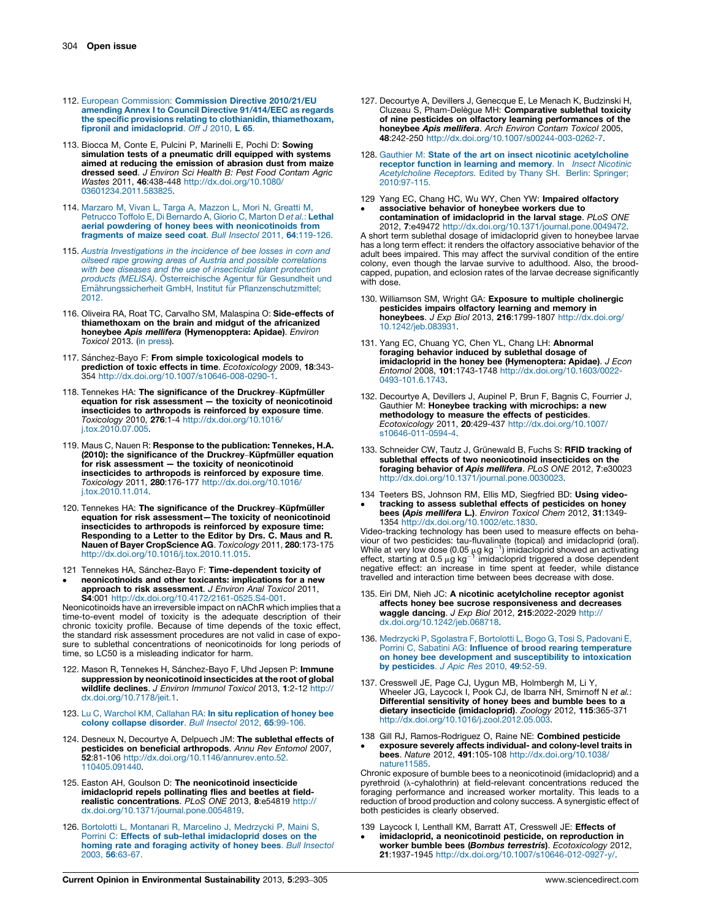- <span id="page-11-0"></span>112. European Commission: [Commission](http://refhub.elsevier.com/S1877-3435(13)00049-3/sbref0560) Directive 2010/21/EU amending Annex I to Council Directive [91/414/EEC](http://refhub.elsevier.com/S1877-3435(13)00049-3/sbref0560) as regards the specific provisions relating to clothianidin, [thiamethoxam,](http://refhub.elsevier.com/S1877-3435(13)00049-3/sbref0560) fipronil and [imidacloprid](http://refhub.elsevier.com/S1877-3435(13)00049-3/sbref0560). Off J 2010, L 65.
- 113. Biocca M, Conte E, Pulcini P, Marinelli E, Pochi D: Sowing simulation tests of a pneumatic drill equipped with systems aimed at reducing the emission of abrasion dust from maize dressed seed. J Environ Sci Health B: Pest Food Contam Agric Wastes 2011, 46:438-448 [http://dx.doi.org/10.1080/](http://dx.doi.org/10.1080/03601234.2011.583825) [03601234.2011.583825.](http://dx.doi.org/10.1080/03601234.2011.583825)
- 114. [Marzaro](http://refhub.elsevier.com/S1877-3435(13)00049-3/sbref0570) M, Vivan L, Targa A, Mazzon L, Mori N, Greatti M, Petrucco Toffolo E, Di [Bernardo](http://refhub.elsevier.com/S1877-3435(13)00049-3/sbref0570) A, Giorio C, Marton D et al.: Lethal aerial powdering of honey bees with [neonicotinoids](http://refhub.elsevier.com/S1877-3435(13)00049-3/sbref0570) from [fragments](http://refhub.elsevier.com/S1877-3435(13)00049-3/sbref0570) of maize seed coat. Bull Insectol 2011, 64:119-126.
- 115. Austria [Investigations](http://refhub.elsevier.com/S1877-3435(13)00049-3/sbref0575) in the incidence of bee losses in corn and oilseed rape growing areas of Austria and possible [correlations](http://refhub.elsevier.com/S1877-3435(13)00049-3/sbref0575) with bee diseases and the use of [insecticidal](http://refhub.elsevier.com/S1877-3435(13)00049-3/sbref0575) plant protection products (MELISA). Ö[sterreichische](http://refhub.elsevier.com/S1877-3435(13)00049-3/sbref0575) Agentur für Gesundheit und Ernährungssicherheit GmbH, Institut für [Pflanzenschutzmittel;](http://refhub.elsevier.com/S1877-3435(13)00049-3/sbref0575) [2012.](http://refhub.elsevier.com/S1877-3435(13)00049-3/sbref0575)
- 116. Oliveira RA, Roat TC, Carvalho SM, Malaspina O: Side-effects of thiamethoxam on the brain and midgut of the africanized honeybee Apis mellifera (Hymenopptera: Apidae). Environ Toxicol 2013. (in [press](http://dx.doi.org/10.1002/tox.21842)).
- 117. Sánchez-Bayo F: From simple toxicological models to prediction of toxic effects in time. Ecotoxicology 2009, 18:343- 354 <http://dx.doi.org/10.1007/s10646-008-0290-1>.
- 118. Tennekes HA: The significance of the Druckrey-Küpfmüller equation for risk assessment — the toxicity of neonicotinoid insecticides to arthropods is reinforced by exposure time. Toxicology 2010, 276:1-4 [http://dx.doi.org/10.1016/](http://dx.doi.org/10.1016/j.tox.2010.07.005) [j.tox.2010.07.005](http://dx.doi.org/10.1016/j.tox.2010.07.005).
- 119. Maus C, Nauen R: Response to the publication: Tennekes, H.A. (2010): the significance of the Druckrey–Küpfmüller equation<br>for risk assessment — the toxicity of neonicotinoid insecticides to arthropods is reinforced by exposure time. Toxicology 2011, 280:176-177 [http://dx.doi.org/10.1016/](http://dx.doi.org/10.1016/j.tox.2010.11.014) [j.tox.2010.11.014](http://dx.doi.org/10.1016/j.tox.2010.11.014).
- 120. Tennekes HA: The significance of the Druckrey-Küpfmüller equation for risk assessment—The toxicity of neonicotinoid insecticides to arthropods is reinforced by exposure time: Responding to a Letter to the Editor by Drs. C. Maus and R. Nauen of Bayer CropScience AG. Toxicology 2011, 280:173-175 <http://dx.doi.org/10.1016/j.tox.2010.11.015>.
- 121 Tennekes HA, Sánchez-Bayo F: Time-dependent toxicity of  $\bullet$ neonicotinoids and other toxicants: implications for a new approach to risk assessment. J Environ Anal Toxicol 2011, S4:001 [http://dx.doi.org/10.4172/2161-0525.S4-001.](http://dx.doi.org/10.4172/2161-0525.S4-001)

Neonicotinoids have an irreversible impact on nAChR which implies that a time-to-event model of toxicity is the adequate description of their chronic toxicity profile. Because of time depends of the toxic effect, the standard risk assessment procedures are not valid in case of exposure to sublethal concentrations of neonicotinoids for long periods of time, so LC50 is a misleading indicator for harm.

- 122. Mason R, Tennekes H, Sánchez-Bayo F, Uhd Jepsen P: Immune suppression by neonicotinoid insecticides at the root of global wildlife declines. J Environ Immunol Toxicol 2013, 1:2-12 [http://](http://dx.doi.org/10.7178/jeit.1) [dx.doi.org/10.7178/jeit.1](http://dx.doi.org/10.7178/jeit.1).
- 123. Lu C, Warchol KM, Callahan RA: In situ [replication](http://refhub.elsevier.com/S1877-3435(13)00049-3/sbref0615) of honey bee colony [collapse](http://refhub.elsevier.com/S1877-3435(13)00049-3/sbref0615) disorder. Bull Insectol 2012, 65:99-106
- 124. Desneux N, Decourtye A, Delpuech JM: The sublethal effects of pesticides on beneficial arthropods. Annu Rev Entomol 2007, 52:81-106 [http://dx.doi.org/10.1146/annurev.ento.52.](http://dx.doi.org/10.1146/annurev.ento.52. 110405.091440) [110405.091440.](http://dx.doi.org/10.1146/annurev.ento.52. 110405.091440)
- 125. Easton AH, Goulson D: The neonicotinoid insecticide imidacloprid repels pollinating flies and beetles at field-realistic concentrations. PLoS ONE 2013, 8:e54819 [http://](http://dx.doi.org/10.1371/journal.pone.0054819) [dx.doi.org/10.1371/journal.pone.0054819.](http://dx.doi.org/10.1371/journal.pone.0054819)
- 126. Bortolotti L, Montanari R, Marcelino J, [Medrzycki](http://refhub.elsevier.com/S1877-3435(13)00049-3/sbref0630) P, Maini S, Porrini C: Effects of sub-lethal [imidacloprid](http://refhub.elsevier.com/S1877-3435(13)00049-3/sbref0630) doses on the homing rate and [foraging](http://refhub.elsevier.com/S1877-3435(13)00049-3/sbref0630) activity of honey bees. Bull Insectol 2003, 56[:63-67.](http://refhub.elsevier.com/S1877-3435(13)00049-3/sbref0630)
- 127. Decourtye A, Devillers J, Genecque E, Le Menach K, Budzinski H,<br>Cluzeau S, Pham-Delègue MH: **Comparative sublethal toxicity** of nine pesticides on olfactory learning performances of the honeybee Apis mellifera. Arch Environ Contam Toxicol 2005, 48:242-250 <http://dx.doi.org/10.1007/s00244-003-0262-7>.
- 128. Gauthier M: State of the art on insect nicotinic [acetylcholine](http://refhub.elsevier.com/S1877-3435(13)00049-3/sbref0640) [receptor](http://refhub.elsevier.com/S1877-3435(13)00049-3/sbref0640) function in learning and memory. In Insect Nicotinic [Acetylcholine](http://refhub.elsevier.com/S1877-3435(13)00049-3/sbref0640) Receptors. Edited by Thany SH. Berlin: Springer; [2010:97-115.](http://refhub.elsevier.com/S1877-3435(13)00049-3/sbref0640)
- 129 Yang EC, Chang HC, Wu WY, Chen YW: Impaired olfactory  $\bullet$ associative behavior of honeybee workers due to contamination of imidacloprid in the larval stage. PLoS ONE

2012, 7:e49472 [http://dx.doi.org/10.1371/journal.pone.0049472.](http://dx.doi.org/10.1371/journal.pone.0049472) A short term sublethal dosage of imidacloprid given to honeybee larvae has a long term effect: it renders the olfactory associative behavior of the adult bees impaired. This may affect the survival condition of the entire colony, even though the larvae survive to adulthood. Also, the broodcapped, pupation, and eclosion rates of the larvae decrease significantly with dose

- 130. Williamson SM, Wright GA: Exposure to multiple cholinergic pesticides impairs olfactory learning and memory in honeybees. J Exp Biol 2013, 216:1799-1807 [http://dx.doi.org/](http://dx.doi.org/10.1242/jeb.083931) [10.1242/jeb.083931.](http://dx.doi.org/10.1242/jeb.083931)
- 131. Yang EC, Chuang YC, Chen YL, Chang LH: Abnormal foraging behavior induced by sublethal dosage of imidacloprid in the honey bee (Hymenoptera: Apidae). J Econ Entomol 2008, 101:1743-1748 [http://dx.doi.org/10.1603/0022-](http://dx.doi.org/10.1603/0022-0493-101.6.1743) [0493-101.6.1743](http://dx.doi.org/10.1603/0022-0493-101.6.1743).
- 132. Decourtye A, Devillers J, Aupinel P, Brun F, Bagnis C, Fourrier J, Gauthier M: Honeybee tracking with microchips: a new methodology to measure the effects of pesticides. Ecotoxicology 2011, 20:429-437 [http://dx.doi.org/10.1007/](http://dx.doi.org/10.1007/s10646-011-0594-4) [s10646-011-0594-4.](http://dx.doi.org/10.1007/s10646-011-0594-4)
- 133. Schneider CW, Tautz J, Grünewald B, Fuchs S: RFID tracking of sublethal effects of two neonicotinoid insecticides on the foraging behavior of Apis mellifera. PLoS ONE 2012, 7:e30023 <http://dx.doi.org/10.1371/journal.pone.0030023>.
- 134  $\bullet$ Teeters BS, Johnson RM, Ellis MD, Siegfried BD: Using video-tracking to assess sublethal effects of pesticides on honey bees (Apis mellifera L.). Environ Toxicol Chem 2012, 31:1349-1354 [http://dx.doi.org/10.1002/etc.1830.](http://dx.doi.org/10.1002/etc.1830)

Video-tracking technology has been used to measure effects on behaviour of two pesticides: tau-fluvalinate (topical) and imidacloprid (oral).<br>While at very low dose (0.05 µg kg<sup>-1</sup>) imidacloprid showed an activating<br>effect, starting at 0.5 µg kg<sup>-1</sup> imidacloprid triggered a dose dependen travelled and interaction time between bees decrease with dose.

- 135. Eiri DM, Nieh JC: A nicotinic acetylcholine receptor agonist affects honey bee sucrose responsiveness and decreases **waggle dancing**. *J Exp Biol* 2012, **215**:2022-2029 [http://](http://dx.doi.org/10.1242/jeb.068718)<br>[dx.doi.org/10.1242/jeb.068718](http://dx.doi.org/10.1242/jeb.068718).
- 136. [Medrzycki](http://refhub.elsevier.com/S1877-3435(13)00049-3/sbref0680) P, Sgolastra F, Bortolotti L, Bogo G, Tosi S, Padovani E,<br>Porrini C, Sabatini AG: **Influence of brood rearing [temperature](http://refhub.elsevier.com/S1877-3435(13)00049-3/sbref0680)** on honey bee development and [susceptibility](http://refhub.elsevier.com/S1877-3435(13)00049-3/sbref0680) to intoxication by [pesticides](http://refhub.elsevier.com/S1877-3435(13)00049-3/sbref0680). J Apic Res 2010, 49:52-59.
- 137. Cresswell JE, Page CJ, Uygun MB, Holmbergh M, Li Y, Wheeler JG, Laycock I, Pook CJ, de Ibarra NH, Smirnoff N et al.: Differential sensitivity of honey bees and bumble bees to a dietary insecticide (imidacloprid). Zoology 2012, 115:365-371 [http://dx.doi.org/10.1016/j.zool.2012.05.003.](http://dx.doi.org/10.1016/j.zool.2012.05.003)
- 138 Gill RJ, Ramos-Rodriguez O, Raine NE: Combined pesticide  $\bullet$ exposure severely affects individual- and colony-level traits in bees. Nature 2012, 491:105-108 [http://dx.doi.org/10.1038/](http://dx.doi.org/10.1038/nature11585) [nature11585](http://dx.doi.org/10.1038/nature11585).

Chronic exposure of bumble bees to a neonicotinoid (imidacloprid) and a pyrethroid (l-cyhalothrin) at field-relevant concentrations reduced the foraging performance and increased worker mortality. This leads to a reduction of brood production and colony success. A synergistic effect of both pesticides is clearly observed.

139 Laycock I, Lenthall KM, Barratt AT, Cresswell JE: Effects of  $\bullet$ imidacloprid, a neonicotinoid pesticide, on reproduction in worker bumble bees (Bombus terrestris). Ecotoxicology 2012, 21:1937-1945 [http://dx.doi.org/10.1007/s10646-012-0927-y/.](http://dx.doi.org/10.1007/s10646-012-0927-y/)